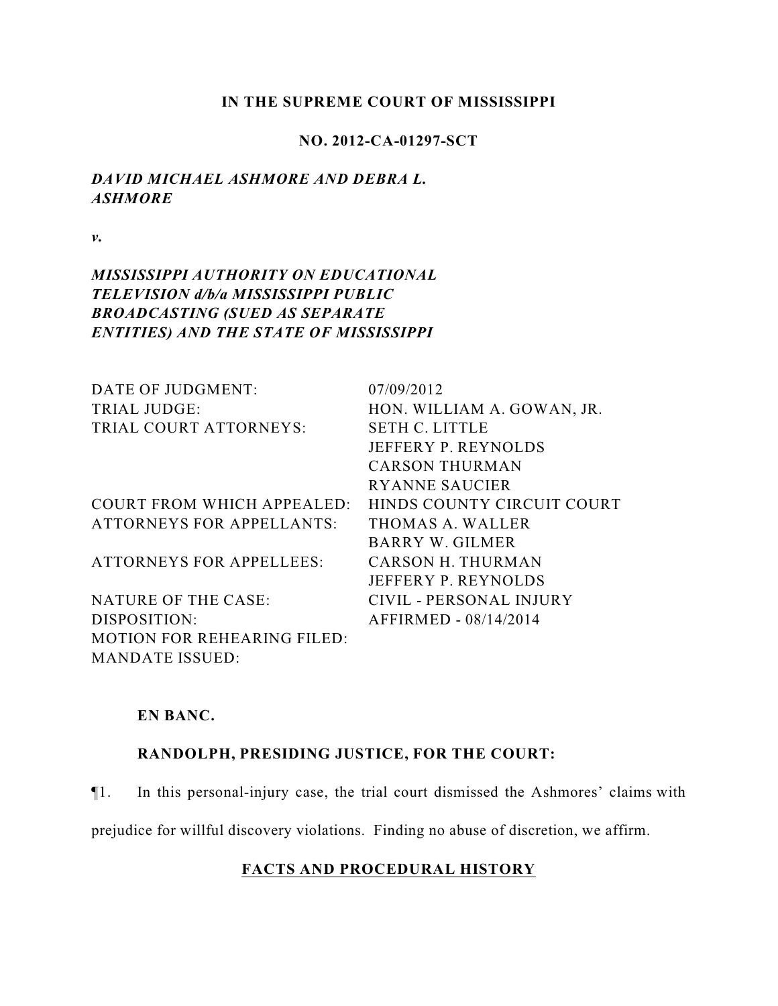## **IN THE SUPREME COURT OF MISSISSIPPI**

## **NO. 2012-CA-01297-SCT**

## *DAVID MICHAEL ASHMORE AND DEBRA L. ASHMORE*

*v.*

# *MISSISSIPPI AUTHORITY ON EDUCATIONAL TELEVISION d/b/a MISSISSIPPI PUBLIC BROADCASTING (SUED AS SEPARATE ENTITIES) AND THE STATE OF MISSISSIPPI*

| DATE OF JUDGMENT:                  | 07/09/2012                 |
|------------------------------------|----------------------------|
| <b>TRIAL JUDGE:</b>                | HON. WILLIAM A. GOWAN, JR. |
| TRIAL COURT ATTORNEYS:             | <b>SETH C. LITTLE</b>      |
|                                    | JEFFERY P. REYNOLDS        |
|                                    | <b>CARSON THURMAN</b>      |
|                                    | RYANNE SAUCIER             |
| <b>COURT FROM WHICH APPEALED:</b>  | HINDS COUNTY CIRCUIT COURT |
| <b>ATTORNEYS FOR APPELLANTS:</b>   | THOMAS A. WALLER           |
|                                    | <b>BARRY W. GILMER</b>     |
| <b>ATTORNEYS FOR APPELLEES:</b>    | <b>CARSON H. THURMAN</b>   |
|                                    | JEFFERY P. REYNOLDS        |
| <b>NATURE OF THE CASE:</b>         | CIVIL - PERSONAL INJURY    |
| DISPOSITION:                       | AFFIRMED - 08/14/2014      |
| <b>MOTION FOR REHEARING FILED:</b> |                            |
| <b>MANDATE ISSUED:</b>             |                            |

## **EN BANC.**

## **RANDOLPH, PRESIDING JUSTICE, FOR THE COURT:**

¶1. In this personal-injury case, the trial court dismissed the Ashmores' claims with

prejudice for willful discovery violations. Finding no abuse of discretion, we affirm.

# **FACTS AND PROCEDURAL HISTORY**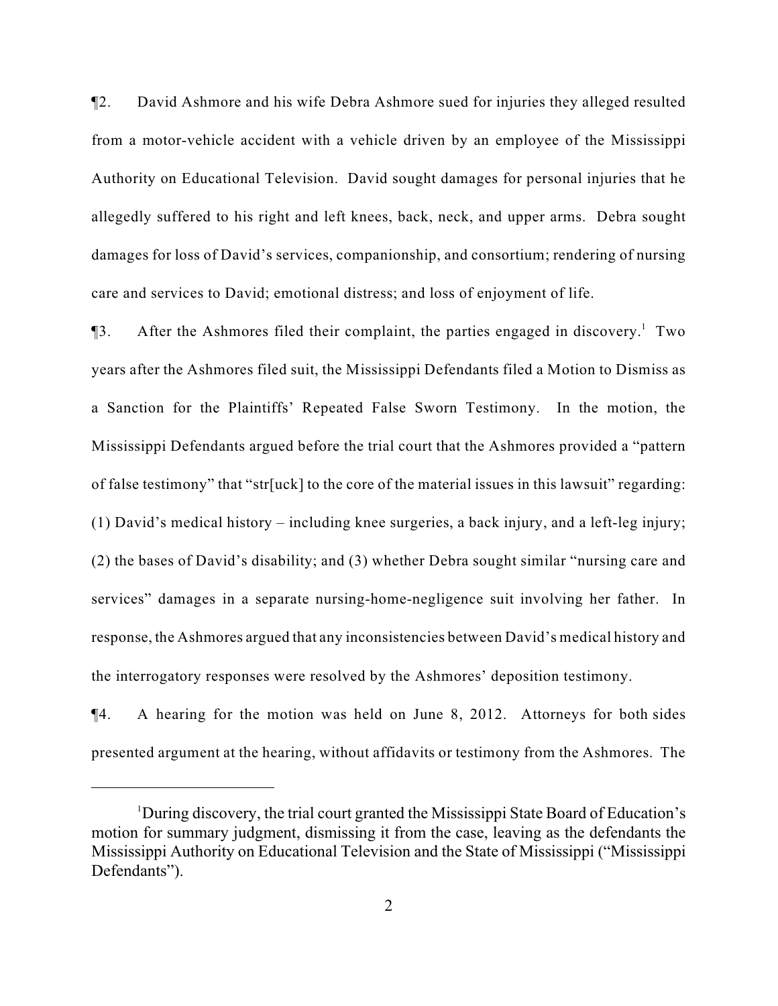¶2. David Ashmore and his wife Debra Ashmore sued for injuries they alleged resulted from a motor-vehicle accident with a vehicle driven by an employee of the Mississippi Authority on Educational Television. David sought damages for personal injuries that he allegedly suffered to his right and left knees, back, neck, and upper arms. Debra sought damages for loss of David's services, companionship, and consortium; rendering of nursing care and services to David; emotional distress; and loss of enjoyment of life.

 $\P$ 3. After the Ashmores filed their complaint, the parties engaged in discovery.<sup>1</sup> Two years after the Ashmores filed suit, the Mississippi Defendants filed a Motion to Dismiss as a Sanction for the Plaintiffs' Repeated False Sworn Testimony. In the motion, the Mississippi Defendants argued before the trial court that the Ashmores provided a "pattern of false testimony" that "str[uck] to the core of the material issues in this lawsuit" regarding: (1) David's medical history – including knee surgeries, a back injury, and a left-leg injury; (2) the bases of David's disability; and (3) whether Debra sought similar "nursing care and services" damages in a separate nursing-home-negligence suit involving her father. In response, the Ashmores argued that any inconsistencies between David's medical history and the interrogatory responses were resolved by the Ashmores' deposition testimony.

¶4. A hearing for the motion was held on June 8, 2012. Attorneys for both sides presented argument at the hearing, without affidavits or testimony from the Ashmores. The

<sup>&</sup>lt;sup>1</sup>During discovery, the trial court granted the Mississippi State Board of Education's motion for summary judgment, dismissing it from the case, leaving as the defendants the Mississippi Authority on Educational Television and the State of Mississippi ("Mississippi Defendants").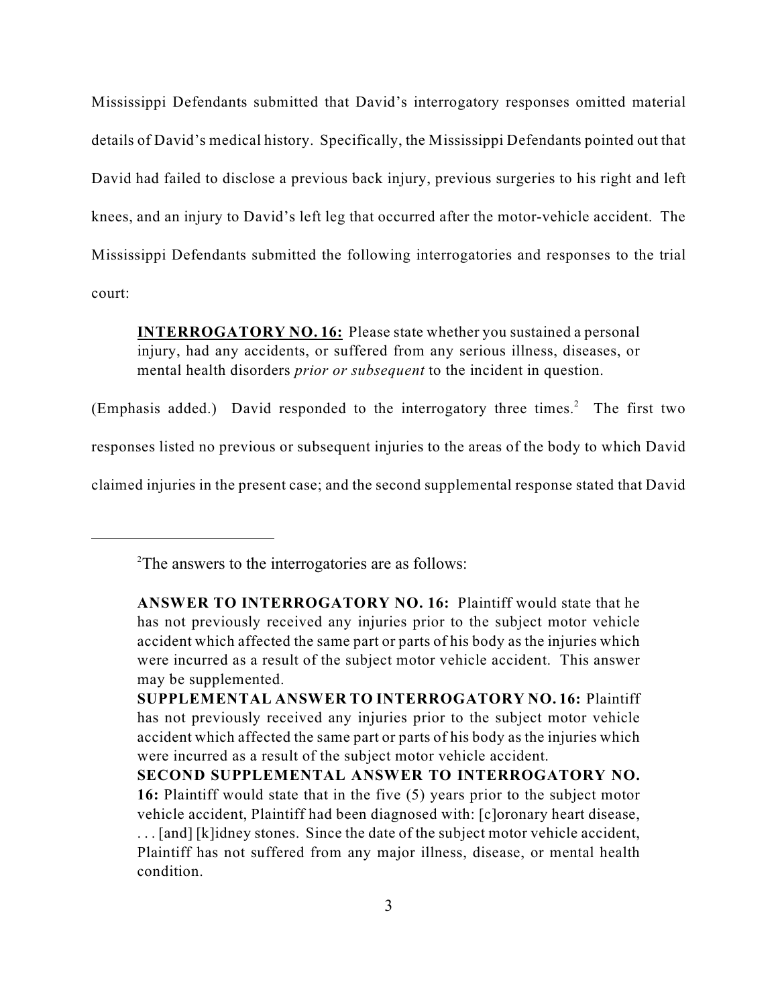Mississippi Defendants submitted that David's interrogatory responses omitted material details of David's medical history. Specifically, the Mississippi Defendants pointed out that David had failed to disclose a previous back injury, previous surgeries to his right and left knees, and an injury to David's left leg that occurred after the motor-vehicle accident. The Mississippi Defendants submitted the following interrogatories and responses to the trial court:

**INTERROGATORY NO. 16:** Please state whether you sustained a personal injury, had any accidents, or suffered from any serious illness, diseases, or mental health disorders *prior or subsequent* to the incident in question.

(Emphasis added.) David responded to the interrogatory three times.<sup>2</sup> The first two responses listed no previous or subsequent injuries to the areas of the body to which David claimed injuries in the present case; and the second supplemental response stated that David

<sup>&</sup>lt;sup>2</sup>The answers to the interrogatories are as follows:

**ANSWER TO INTERROGATORY NO. 16:** Plaintiff would state that he has not previously received any injuries prior to the subject motor vehicle accident which affected the same part or parts of his body as the injuries which were incurred as a result of the subject motor vehicle accident. This answer may be supplemented.

**SUPPLEMENTAL ANSWER TO INTERROGATORY NO. 16:** Plaintiff has not previously received any injuries prior to the subject motor vehicle accident which affected the same part or parts of his body as the injuries which were incurred as a result of the subject motor vehicle accident.

**SECOND SUPPLEMENTAL ANSWER TO INTERROGATORY NO. 16:** Plaintiff would state that in the five (5) years prior to the subject motor vehicle accident, Plaintiff had been diagnosed with: [c]oronary heart disease, . . . [and] [k]idney stones. Since the date of the subject motor vehicle accident, Plaintiff has not suffered from any major illness, disease, or mental health condition.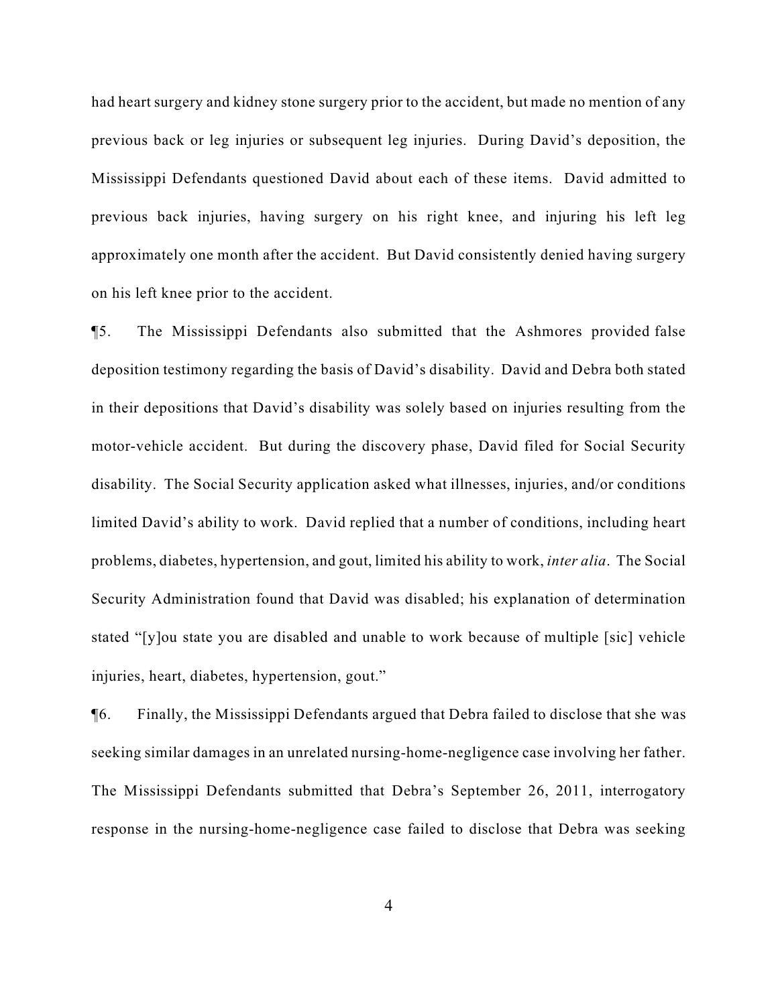had heart surgery and kidney stone surgery prior to the accident, but made no mention of any previous back or leg injuries or subsequent leg injuries. During David's deposition, the Mississippi Defendants questioned David about each of these items. David admitted to previous back injuries, having surgery on his right knee, and injuring his left leg approximately one month after the accident. But David consistently denied having surgery on his left knee prior to the accident.

¶5. The Mississippi Defendants also submitted that the Ashmores provided false deposition testimony regarding the basis of David's disability. David and Debra both stated in their depositions that David's disability was solely based on injuries resulting from the motor-vehicle accident. But during the discovery phase, David filed for Social Security disability. The Social Security application asked what illnesses, injuries, and/or conditions limited David's ability to work. David replied that a number of conditions, including heart problems, diabetes, hypertension, and gout, limited his ability to work, *inter alia*. The Social Security Administration found that David was disabled; his explanation of determination stated "[y]ou state you are disabled and unable to work because of multiple [sic] vehicle injuries, heart, diabetes, hypertension, gout."

¶6. Finally, the Mississippi Defendants argued that Debra failed to disclose that she was seeking similar damages in an unrelated nursing-home-negligence case involving her father. The Mississippi Defendants submitted that Debra's September 26, 2011, interrogatory response in the nursing-home-negligence case failed to disclose that Debra was seeking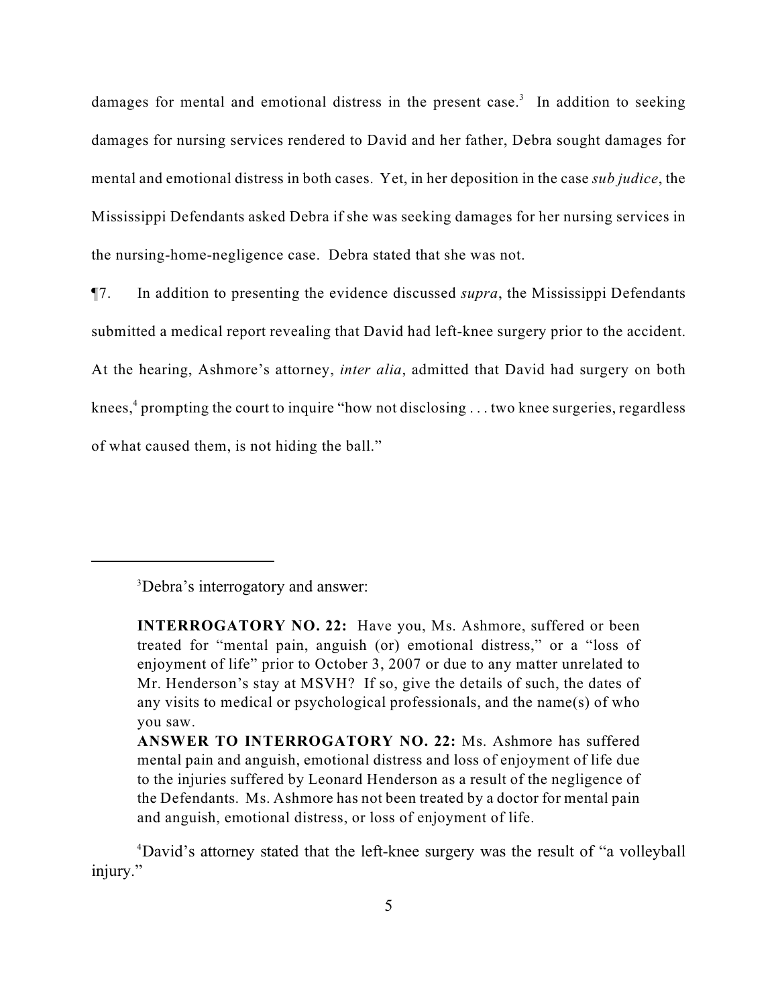damages for mental and emotional distress in the present case.<sup>3</sup> In addition to seeking damages for nursing services rendered to David and her father, Debra sought damages for mental and emotional distress in both cases. Yet, in her deposition in the case *sub judice*, the Mississippi Defendants asked Debra if she was seeking damages for her nursing services in the nursing-home-negligence case. Debra stated that she was not.

¶7. In addition to presenting the evidence discussed *supra*, the Mississippi Defendants submitted a medical report revealing that David had left-knee surgery prior to the accident. At the hearing, Ashmore's attorney, *inter alia*, admitted that David had surgery on both knees,<sup>4</sup> prompting the court to inquire "how not disclosing . . . two knee surgeries, regardless of what caused them, is not hiding the ball."

<sup>&</sup>lt;sup>3</sup>Debra's interrogatory and answer:

**INTERROGATORY NO. 22:** Have you, Ms. Ashmore, suffered or been treated for "mental pain, anguish (or) emotional distress," or a "loss of enjoyment of life" prior to October 3, 2007 or due to any matter unrelated to Mr. Henderson's stay at MSVH? If so, give the details of such, the dates of any visits to medical or psychological professionals, and the name(s) of who you saw.

**ANSWER TO INTERROGATORY NO. 22:** Ms. Ashmore has suffered mental pain and anguish, emotional distress and loss of enjoyment of life due to the injuries suffered by Leonard Henderson as a result of the negligence of the Defendants. Ms. Ashmore has not been treated by a doctor for mental pain and anguish, emotional distress, or loss of enjoyment of life.

<sup>&</sup>lt;sup>4</sup>David's attorney stated that the left-knee surgery was the result of "a volleyball" injury."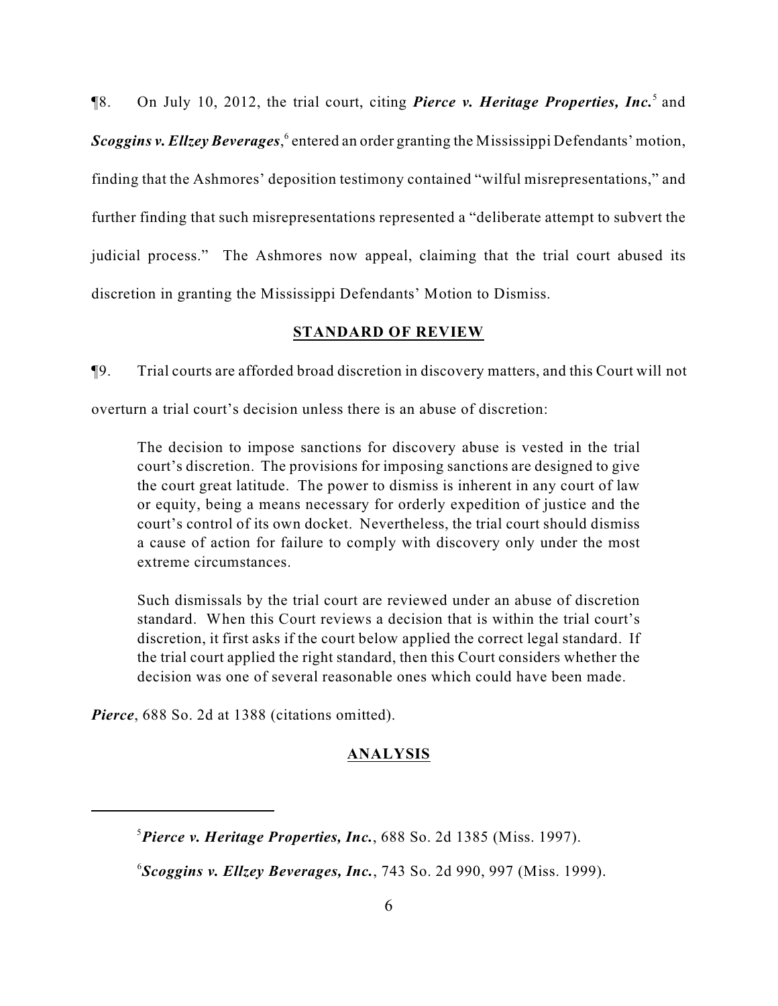**[8.** On July 10, 2012, the trial court, citing *Pierce v. Heritage Properties, Inc.*<sup>5</sup> and *Scoggins v. Ellzey Beverages*, <sup>6</sup> entered an order granting the Mississippi Defendants' motion, finding that the Ashmores' deposition testimony contained "wilful misrepresentations," and further finding that such misrepresentations represented a "deliberate attempt to subvert the judicial process." The Ashmores now appeal, claiming that the trial court abused its discretion in granting the Mississippi Defendants' Motion to Dismiss.

#### **STANDARD OF REVIEW**

¶9. Trial courts are afforded broad discretion in discovery matters, and this Court will not

overturn a trial court's decision unless there is an abuse of discretion:

The decision to impose sanctions for discovery abuse is vested in the trial court's discretion. The provisions for imposing sanctions are designed to give the court great latitude. The power to dismiss is inherent in any court of law or equity, being a means necessary for orderly expedition of justice and the court's control of its own docket. Nevertheless, the trial court should dismiss a cause of action for failure to comply with discovery only under the most extreme circumstances.

Such dismissals by the trial court are reviewed under an abuse of discretion standard. When this Court reviews a decision that is within the trial court's discretion, it first asks if the court below applied the correct legal standard. If the trial court applied the right standard, then this Court considers whether the decision was one of several reasonable ones which could have been made.

*Pierce*, 688 So. 2d at 1388 (citations omitted).

## **ANALYSIS**

 ${}^{5}$ Pierce v. Heritage Properties, Inc., 688 So. 2d 1385 (Miss. 1997).

*Scoggins v. Ellzey Beverages, Inc.*, 743 So. 2d 990, 997 (Miss. 1999). 6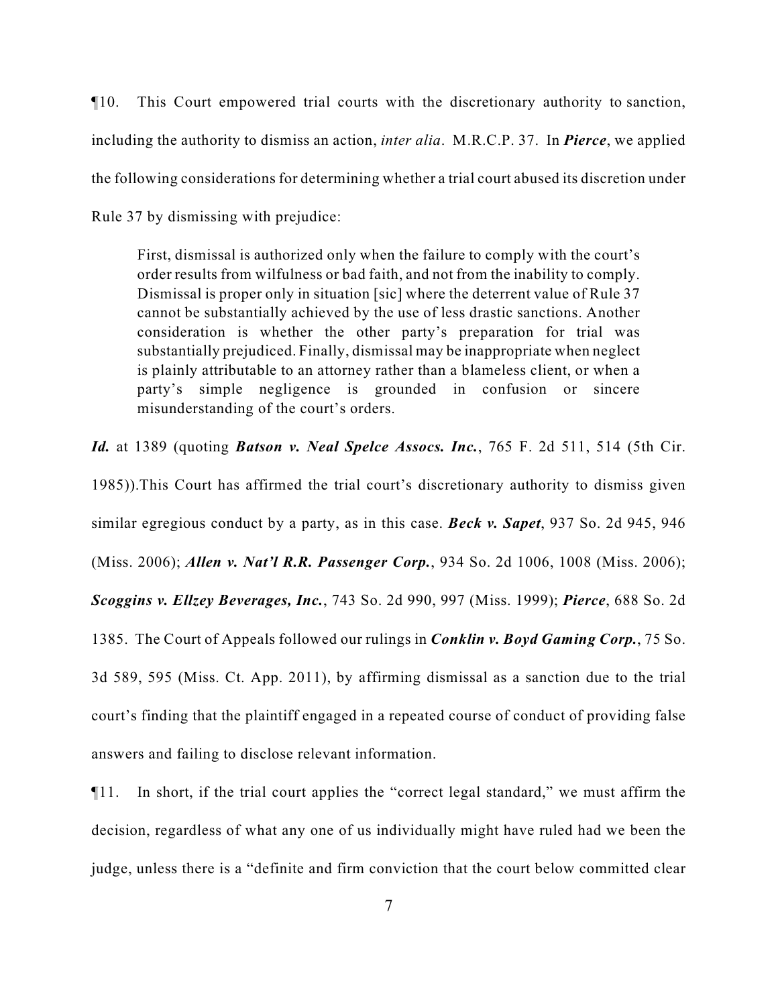¶10. This Court empowered trial courts with the discretionary authority to sanction, including the authority to dismiss an action, *inter alia*. M.R.C.P. 37. In *Pierce*, we applied the following considerations for determining whether a trial court abused its discretion under Rule 37 by dismissing with prejudice:

First, dismissal is authorized only when the failure to comply with the court's order results from wilfulness or bad faith, and not from the inability to comply. Dismissal is proper only in situation [sic] where the deterrent value of Rule 37 cannot be substantially achieved by the use of less drastic sanctions. Another consideration is whether the other party's preparation for trial was substantially prejudiced. Finally, dismissal may be inappropriate when neglect is plainly attributable to an attorney rather than a blameless client, or when a party's simple negligence is grounded in confusion or sincere misunderstanding of the court's orders.

*Id.* at 1389 (quoting *Batson v. Neal Spelce Assocs. Inc.*, 765 F. 2d 511, 514 (5th Cir.

1985)).This Court has affirmed the trial court's discretionary authority to dismiss given similar egregious conduct by a party, as in this case. *Beck v. Sapet*, 937 So. 2d 945, 946 (Miss. 2006); *Allen v. Nat'l R.R. Passenger Corp.*, 934 So. 2d 1006, 1008 (Miss. 2006); *Scoggins v. Ellzey Beverages, Inc.*, 743 So. 2d 990, 997 (Miss. 1999); *Pierce*, 688 So. 2d 1385. The Court of Appeals followed our rulings in *Conklin v. Boyd Gaming Corp.*, 75 So. 3d 589, 595 (Miss. Ct. App. 2011), by affirming dismissal as a sanction due to the trial court's finding that the plaintiff engaged in a repeated course of conduct of providing false answers and failing to disclose relevant information.

¶11. In short, if the trial court applies the "correct legal standard," we must affirm the decision, regardless of what any one of us individually might have ruled had we been the judge, unless there is a "definite and firm conviction that the court below committed clear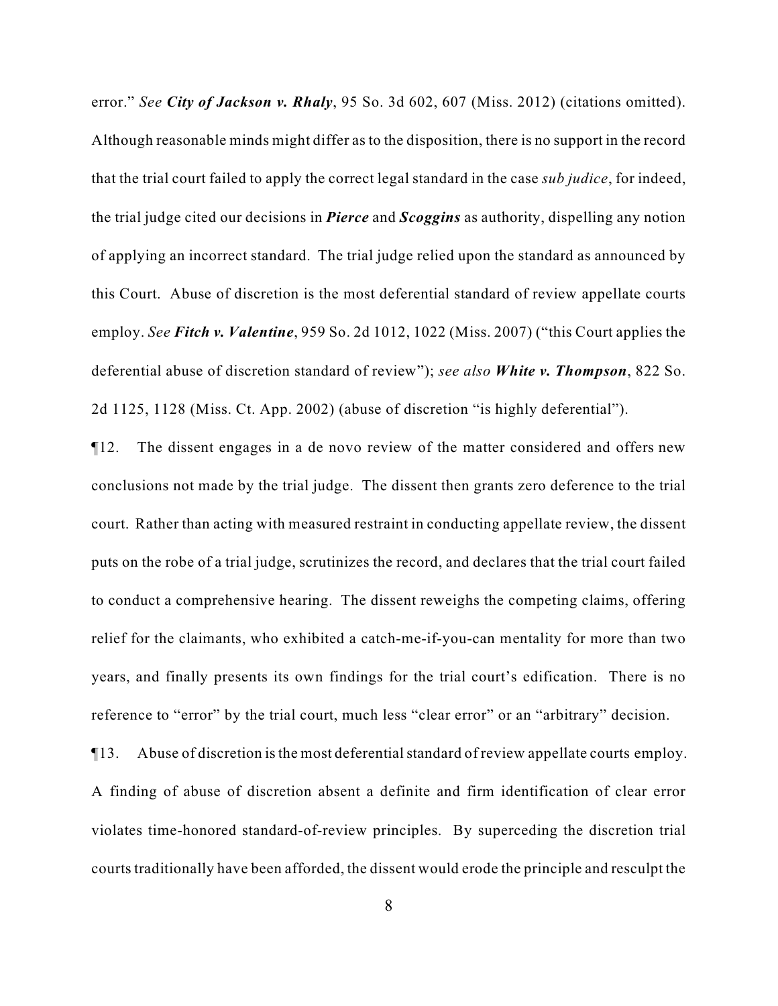error." *See City of Jackson v. Rhaly*, 95 So. 3d 602, 607 (Miss. 2012) (citations omitted). Although reasonable minds might differ as to the disposition, there is no support in the record that the trial court failed to apply the correct legal standard in the case *sub judice*, for indeed, the trial judge cited our decisions in *Pierce* and *Scoggins* as authority, dispelling any notion of applying an incorrect standard. The trial judge relied upon the standard as announced by this Court. Abuse of discretion is the most deferential standard of review appellate courts employ. *See Fitch v. Valentine*, 959 So. 2d 1012, 1022 (Miss. 2007) ("this Court applies the deferential abuse of discretion standard of review"); *see also White v. Thompson*, 822 So. 2d 1125, 1128 (Miss. Ct. App. 2002) (abuse of discretion "is highly deferential").

¶12. The dissent engages in a de novo review of the matter considered and offers new conclusions not made by the trial judge. The dissent then grants zero deference to the trial court. Rather than acting with measured restraint in conducting appellate review, the dissent puts on the robe of a trial judge, scrutinizes the record, and declares that the trial court failed to conduct a comprehensive hearing. The dissent reweighs the competing claims, offering relief for the claimants, who exhibited a catch-me-if-you-can mentality for more than two years, and finally presents its own findings for the trial court's edification. There is no reference to "error" by the trial court, much less "clear error" or an "arbitrary" decision.

¶13. Abuse of discretion is the most deferential standard of review appellate courts employ. A finding of abuse of discretion absent a definite and firm identification of clear error violates time-honored standard-of-review principles. By superceding the discretion trial courts traditionally have been afforded, the dissent would erode the principle and resculpt the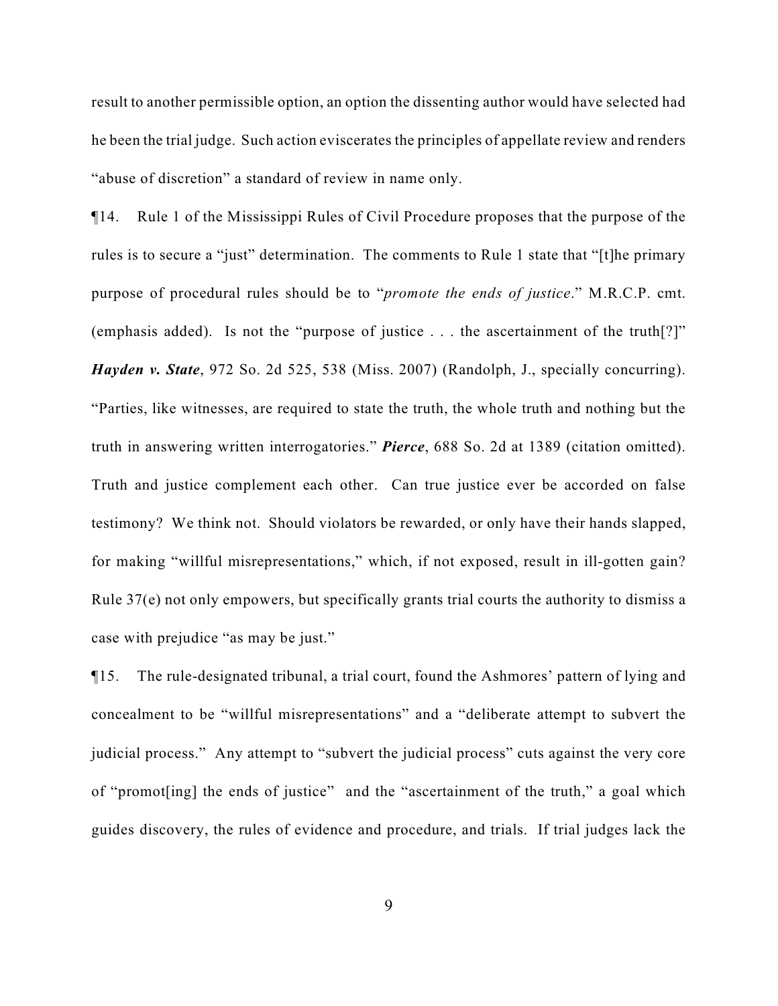result to another permissible option, an option the dissenting author would have selected had he been the trial judge. Such action eviscerates the principles of appellate review and renders "abuse of discretion" a standard of review in name only.

¶14. Rule 1 of the Mississippi Rules of Civil Procedure proposes that the purpose of the rules is to secure a "just" determination. The comments to Rule 1 state that "[t]he primary purpose of procedural rules should be to "*promote the ends of justice*." M.R.C.P. cmt. (emphasis added). Is not the "purpose of justice . . . the ascertainment of the truth[?]" *Hayden v. State*, 972 So. 2d 525, 538 (Miss. 2007) (Randolph, J., specially concurring). "Parties, like witnesses, are required to state the truth, the whole truth and nothing but the truth in answering written interrogatories." *Pierce*, 688 So. 2d at 1389 (citation omitted). Truth and justice complement each other. Can true justice ever be accorded on false testimony? We think not. Should violators be rewarded, or only have their hands slapped, for making "willful misrepresentations," which, if not exposed, result in ill-gotten gain? Rule 37(e) not only empowers, but specifically grants trial courts the authority to dismiss a case with prejudice "as may be just."

¶15. The rule-designated tribunal, a trial court, found the Ashmores' pattern of lying and concealment to be "willful misrepresentations" and a "deliberate attempt to subvert the judicial process." Any attempt to "subvert the judicial process" cuts against the very core of "promot[ing] the ends of justice" and the "ascertainment of the truth," a goal which guides discovery, the rules of evidence and procedure, and trials. If trial judges lack the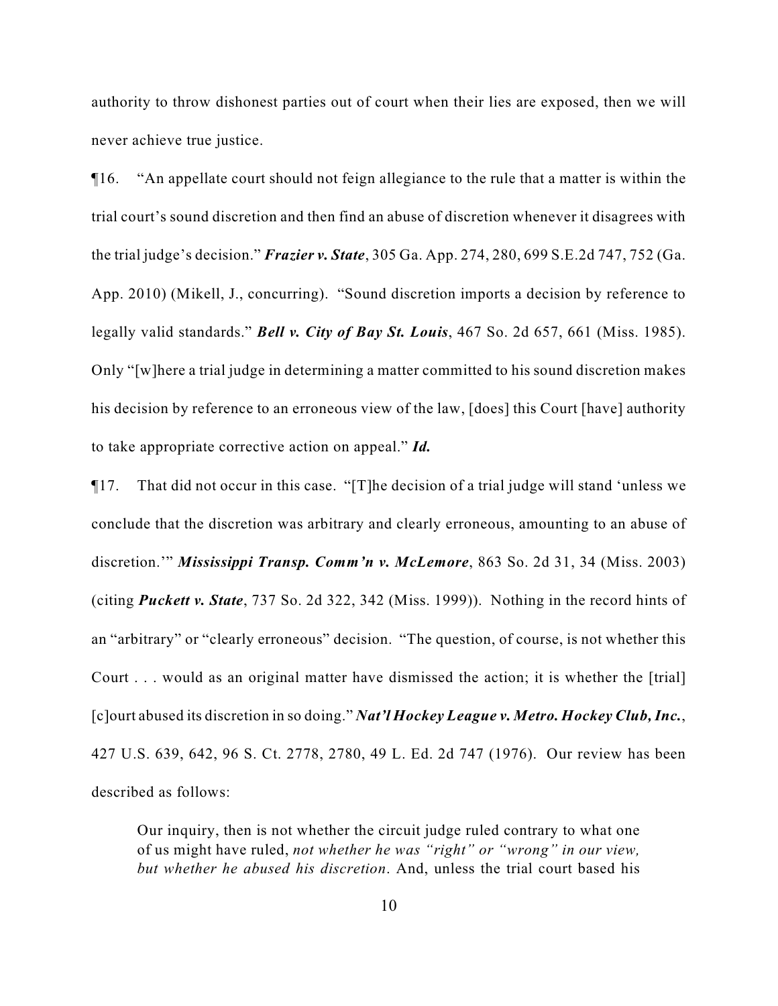authority to throw dishonest parties out of court when their lies are exposed, then we will never achieve true justice.

¶16. "An appellate court should not feign allegiance to the rule that a matter is within the trial court's sound discretion and then find an abuse of discretion whenever it disagrees with the trial judge's decision." *Frazier v. State*, 305 Ga. App. 274, 280, 699 S.E.2d 747, 752 (Ga. App. 2010) (Mikell, J., concurring). "Sound discretion imports a decision by reference to legally valid standards." *Bell v. City of Bay St. Louis*, 467 So. 2d 657, 661 (Miss. 1985). Only "[w]here a trial judge in determining a matter committed to his sound discretion makes his decision by reference to an erroneous view of the law, [does] this Court [have] authority to take appropriate corrective action on appeal." *Id.*

¶17. That did not occur in this case. "[T]he decision of a trial judge will stand 'unless we conclude that the discretion was arbitrary and clearly erroneous, amounting to an abuse of discretion.'" *Mississippi Transp. Comm'n v. McLemore*, 863 So. 2d 31, 34 (Miss. 2003) (citing *Puckett v. State*, 737 So. 2d 322, 342 (Miss. 1999)). Nothing in the record hints of an "arbitrary" or "clearly erroneous" decision. "The question, of course, is not whether this Court . . . would as an original matter have dismissed the action; it is whether the [trial] [c]ourt abused its discretion in so doing." *Nat'l Hockey League v. Metro. Hockey Club, Inc.*, 427 U.S. 639, 642, 96 S. Ct. 2778, 2780, 49 L. Ed. 2d 747 (1976). Our review has been described as follows:

Our inquiry, then is not whether the circuit judge ruled contrary to what one of us might have ruled, *not whether he was "right" or "wrong" in our view, but whether he abused his discretion*. And, unless the trial court based his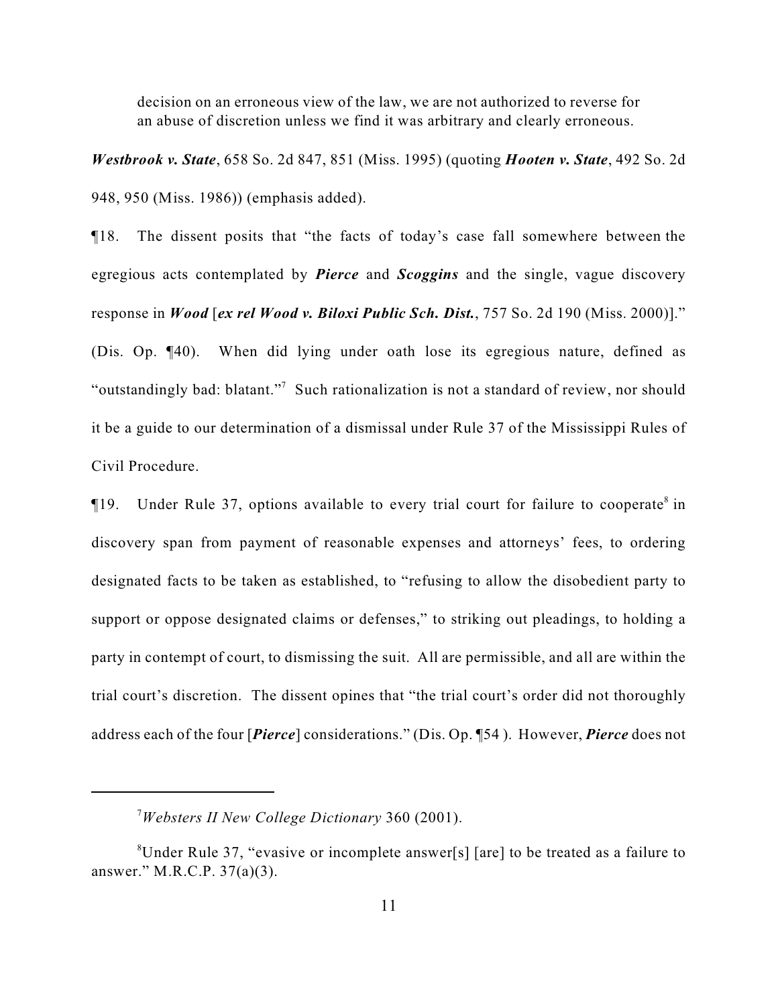decision on an erroneous view of the law, we are not authorized to reverse for an abuse of discretion unless we find it was arbitrary and clearly erroneous.

*Westbrook v. State*, 658 So. 2d 847, 851 (Miss. 1995) (quoting *Hooten v. State*, 492 So. 2d 948, 950 (Miss. 1986)) (emphasis added).

¶18. The dissent posits that "the facts of today's case fall somewhere between the egregious acts contemplated by *Pierce* and *Scoggins* and the single, vague discovery response in *Wood* [*ex rel Wood v. Biloxi Public Sch. Dist.*, 757 So. 2d 190 (Miss. 2000)]." (Dis. Op. ¶40). When did lying under oath lose its egregious nature, defined as "outstandingly bad: blatant."<sup>7</sup> Such rationalization is not a standard of review, nor should it be a guide to our determination of a dismissal under Rule 37 of the Mississippi Rules of Civil Procedure.

 $\P$ 19. Under Rule 37, options available to every trial court for failure to cooperate<sup>8</sup> in discovery span from payment of reasonable expenses and attorneys' fees, to ordering designated facts to be taken as established, to "refusing to allow the disobedient party to support or oppose designated claims or defenses," to striking out pleadings, to holding a party in contempt of court, to dismissing the suit. All are permissible, and all are within the trial court's discretion. The dissent opines that "the trial court's order did not thoroughly address each of the four [*Pierce*] considerations." (Dis. Op. ¶54 ). However, *Pierce* does not

*Websters II New College Dictionary* 360 (2001). <sup>7</sup>

<sup>&</sup>lt;sup>8</sup>Under Rule 37, "evasive or incomplete answer[s] [are] to be treated as a failure to answer." M.R.C.P. 37(a)(3).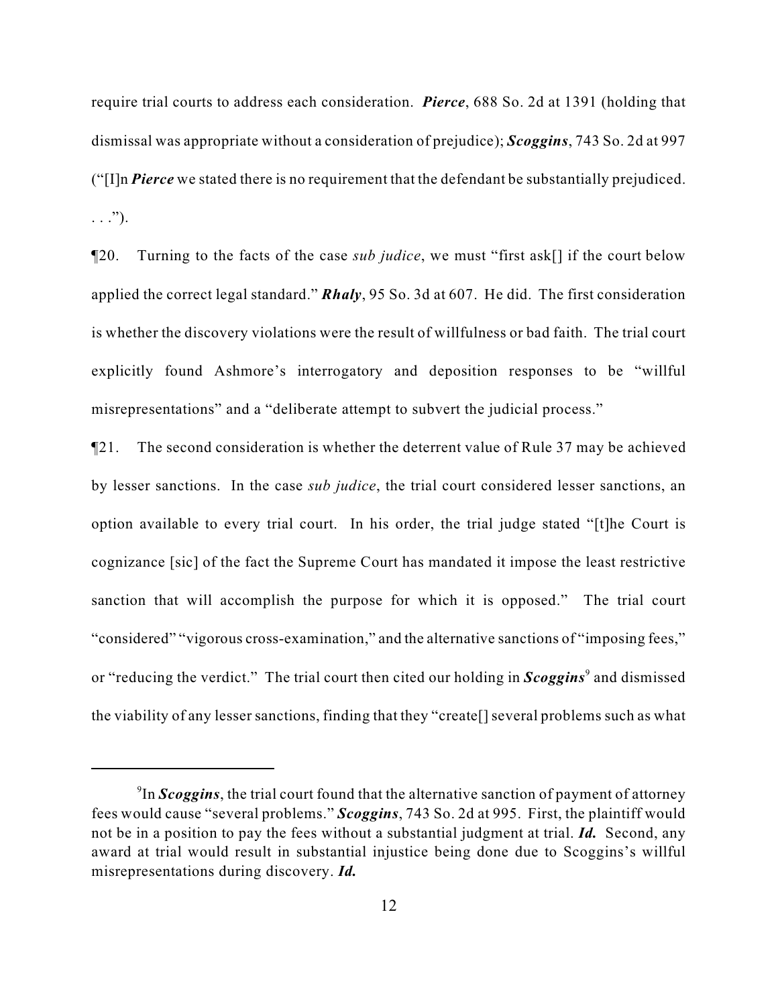require trial courts to address each consideration. *Pierce*, 688 So. 2d at 1391 (holding that dismissal was appropriate without a consideration of prejudice); *Scoggins*, 743 So. 2d at 997 ("[I]n *Pierce* we stated there is no requirement that the defendant be substantially prejudiced.  $\ldots$ ").

¶20. Turning to the facts of the case *sub judice*, we must "first ask[] if the court below applied the correct legal standard." *Rhaly*, 95 So. 3d at 607. He did. The first consideration is whether the discovery violations were the result of willfulness or bad faith. The trial court explicitly found Ashmore's interrogatory and deposition responses to be "willful misrepresentations" and a "deliberate attempt to subvert the judicial process."

¶21. The second consideration is whether the deterrent value of Rule 37 may be achieved by lesser sanctions. In the case *sub judice*, the trial court considered lesser sanctions, an option available to every trial court. In his order, the trial judge stated "[t]he Court is cognizance [sic] of the fact the Supreme Court has mandated it impose the least restrictive sanction that will accomplish the purpose for which it is opposed." The trial court "considered" "vigorous cross-examination," and the alternative sanctions of "imposing fees," or "reducing the verdict." The trial court then cited our holding in *Scoggins*<sup>9</sup> and dismissed the viability of any lesser sanctions, finding that they "create[] several problems such as what

<sup>&</sup>lt;sup>9</sup>In *Scoggins*, the trial court found that the alternative sanction of payment of attorney fees would cause "several problems." *Scoggins*, 743 So. 2d at 995. First, the plaintiff would not be in a position to pay the fees without a substantial judgment at trial. *Id.* Second, any award at trial would result in substantial injustice being done due to Scoggins's willful misrepresentations during discovery. *Id.*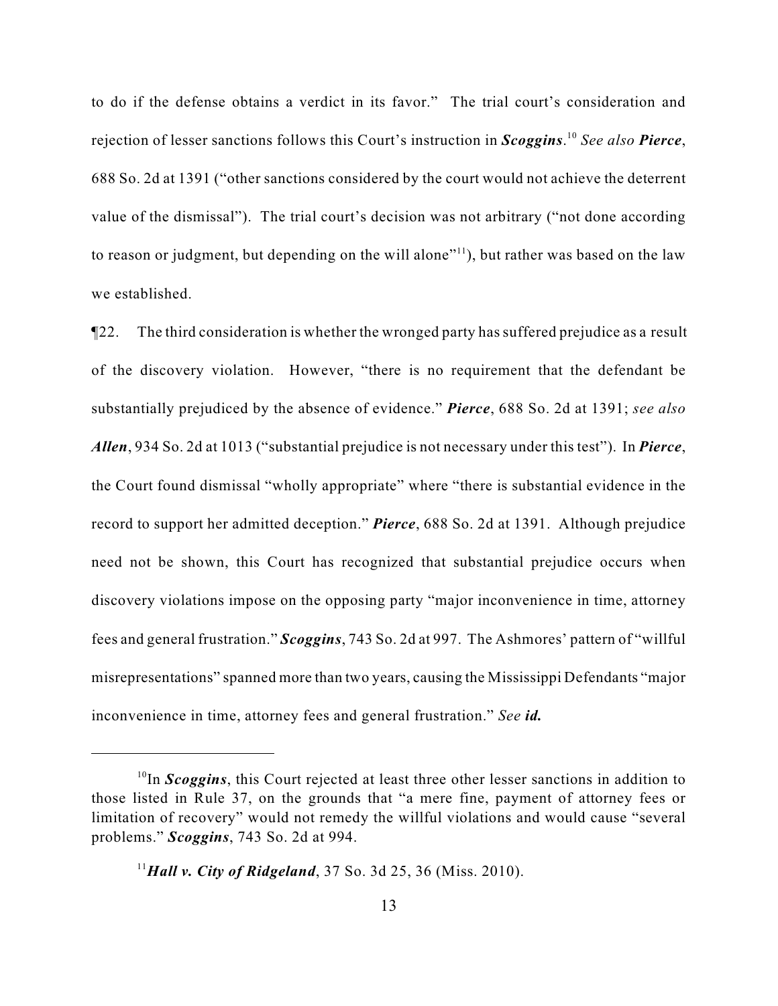to do if the defense obtains a verdict in its favor." The trial court's consideration and rejection of lesser sanctions follows this Court's instruction in *Scoggins*.<sup>10</sup> See also Pierce, 688 So. 2d at 1391 ("other sanctions considered by the court would not achieve the deterrent value of the dismissal"). The trial court's decision was not arbitrary ("not done according to reason or judgment, but depending on the will alone"<sup> $11$ </sup>), but rather was based on the law we established.

¶22. The third consideration is whether the wronged party has suffered prejudice as a result of the discovery violation. However, "there is no requirement that the defendant be substantially prejudiced by the absence of evidence." *Pierce*, 688 So. 2d at 1391; *see also Allen*, 934 So. 2d at 1013 ("substantial prejudice is not necessary under this test"). In *Pierce*, the Court found dismissal "wholly appropriate" where "there is substantial evidence in the record to support her admitted deception." *Pierce*, 688 So. 2d at 1391. Although prejudice need not be shown, this Court has recognized that substantial prejudice occurs when discovery violations impose on the opposing party "major inconvenience in time, attorney fees and general frustration." *Scoggins*, 743 So. 2d at 997. The Ashmores' pattern of "willful misrepresentations" spanned more than two years, causing the Mississippi Defendants "major inconvenience in time, attorney fees and general frustration." *See id.*

 $10$ In *Scoggins*, this Court rejected at least three other lesser sanctions in addition to those listed in Rule 37, on the grounds that "a mere fine, payment of attorney fees or limitation of recovery" would not remedy the willful violations and would cause "several problems." *Scoggins*, 743 So. 2d at 994.

 $^{11}$ *Hall v. City of Ridgeland*, 37 So. 3d 25, 36 (Miss. 2010).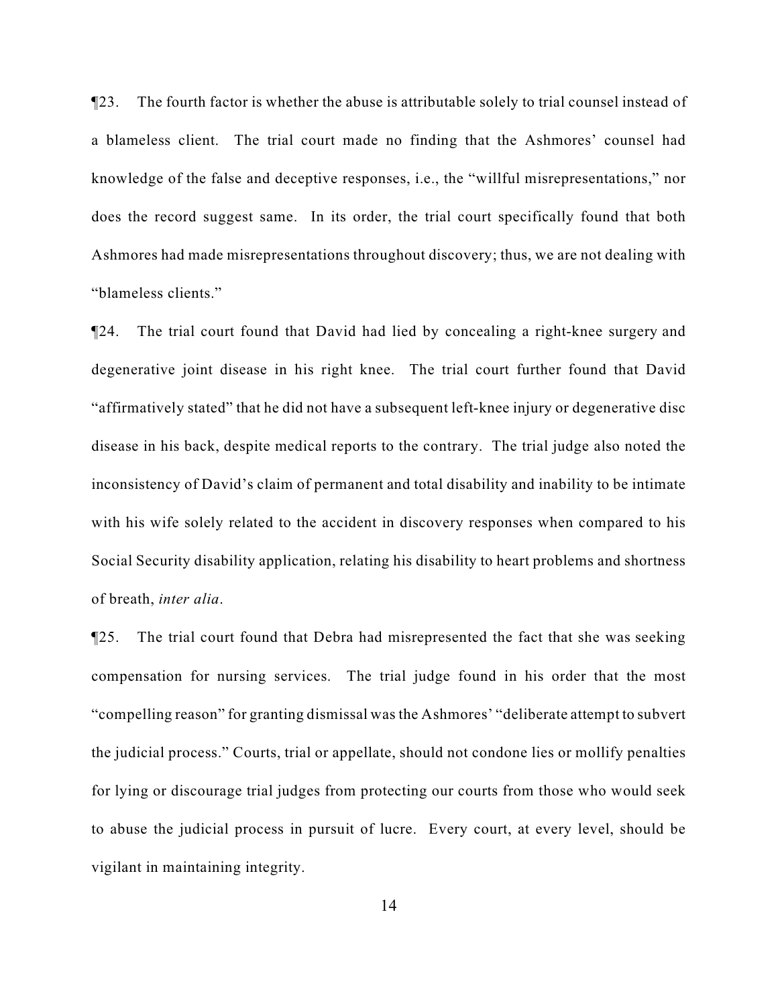¶23. The fourth factor is whether the abuse is attributable solely to trial counsel instead of a blameless client. The trial court made no finding that the Ashmores' counsel had knowledge of the false and deceptive responses, i.e., the "willful misrepresentations," nor does the record suggest same. In its order, the trial court specifically found that both Ashmores had made misrepresentations throughout discovery; thus, we are not dealing with "blameless clients."

¶24. The trial court found that David had lied by concealing a right-knee surgery and degenerative joint disease in his right knee. The trial court further found that David "affirmatively stated" that he did not have a subsequent left-knee injury or degenerative disc disease in his back, despite medical reports to the contrary. The trial judge also noted the inconsistency of David's claim of permanent and total disability and inability to be intimate with his wife solely related to the accident in discovery responses when compared to his Social Security disability application, relating his disability to heart problems and shortness of breath, *inter alia*.

¶25. The trial court found that Debra had misrepresented the fact that she was seeking compensation for nursing services. The trial judge found in his order that the most "compelling reason" for granting dismissal was the Ashmores' "deliberate attempt to subvert the judicial process." Courts, trial or appellate, should not condone lies or mollify penalties for lying or discourage trial judges from protecting our courts from those who would seek to abuse the judicial process in pursuit of lucre. Every court, at every level, should be vigilant in maintaining integrity.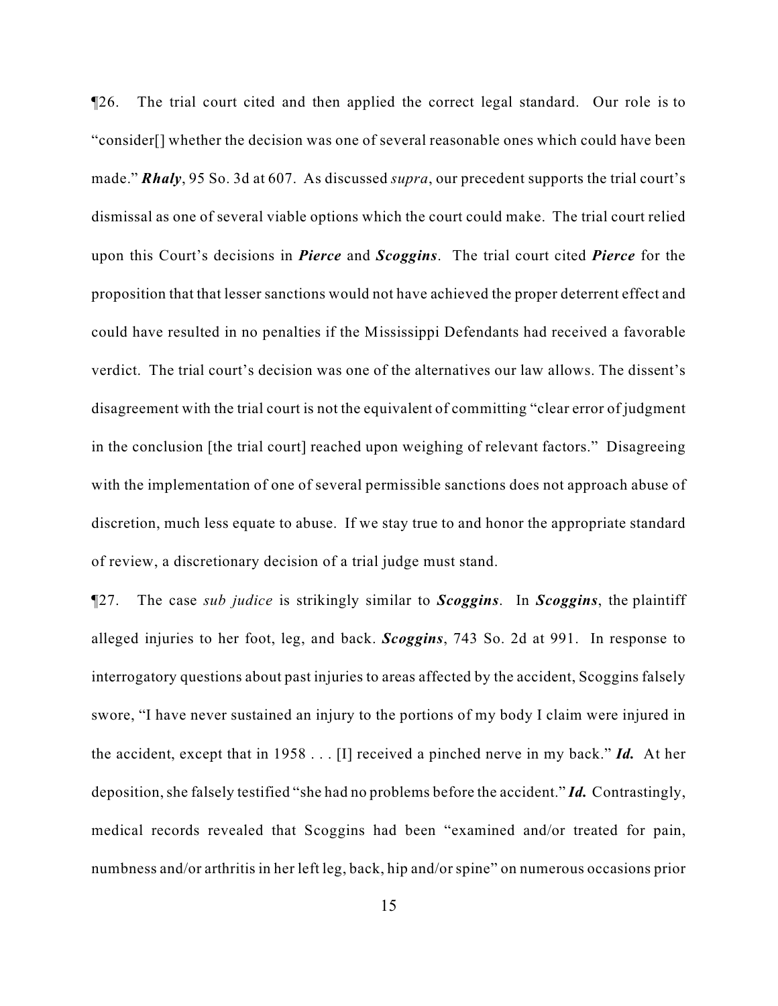¶26. The trial court cited and then applied the correct legal standard. Our role is to "consider[] whether the decision was one of several reasonable ones which could have been made." *Rhaly*, 95 So. 3d at 607. As discussed *supra*, our precedent supports the trial court's dismissal as one of several viable options which the court could make. The trial court relied upon this Court's decisions in *Pierce* and *Scoggins*. The trial court cited *Pierce* for the proposition that that lesser sanctions would not have achieved the proper deterrent effect and could have resulted in no penalties if the Mississippi Defendants had received a favorable verdict. The trial court's decision was one of the alternatives our law allows. The dissent's disagreement with the trial court is not the equivalent of committing "clear error of judgment in the conclusion [the trial court] reached upon weighing of relevant factors." Disagreeing with the implementation of one of several permissible sanctions does not approach abuse of discretion, much less equate to abuse. If we stay true to and honor the appropriate standard of review, a discretionary decision of a trial judge must stand.

¶27. The case *sub judice* is strikingly similar to *Scoggins*. In *Scoggins*, the plaintiff alleged injuries to her foot, leg, and back. *Scoggins*, 743 So. 2d at 991. In response to interrogatory questions about past injuries to areas affected by the accident, Scoggins falsely swore, "I have never sustained an injury to the portions of my body I claim were injured in the accident, except that in 1958 . . . [I] received a pinched nerve in my back." *Id.* At her deposition, she falsely testified "she had no problems before the accident." *Id.* Contrastingly, medical records revealed that Scoggins had been "examined and/or treated for pain, numbness and/or arthritis in her left leg, back, hip and/or spine" on numerous occasions prior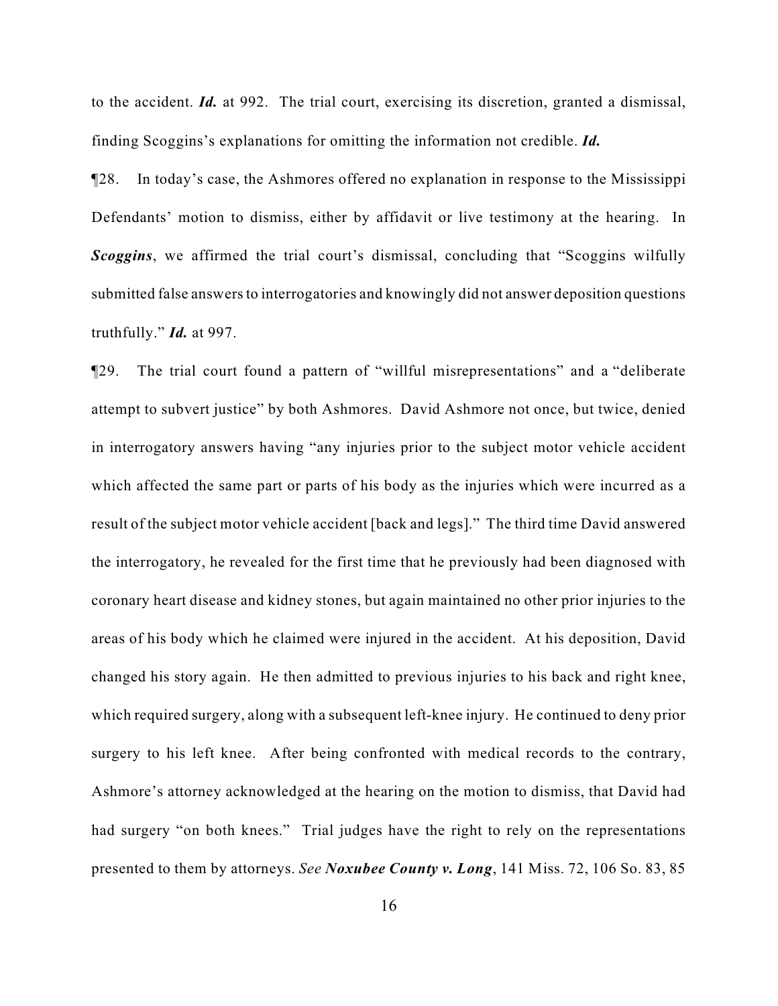to the accident. *Id.* at 992. The trial court, exercising its discretion, granted a dismissal, finding Scoggins's explanations for omitting the information not credible. *Id.* 

¶28. In today's case, the Ashmores offered no explanation in response to the Mississippi Defendants' motion to dismiss, either by affidavit or live testimony at the hearing. In *Scoggins*, we affirmed the trial court's dismissal, concluding that "Scoggins wilfully submitted false answers to interrogatories and knowingly did not answer deposition questions truthfully." *Id.* at 997.

¶29. The trial court found a pattern of "willful misrepresentations" and a "deliberate attempt to subvert justice" by both Ashmores. David Ashmore not once, but twice, denied in interrogatory answers having "any injuries prior to the subject motor vehicle accident which affected the same part or parts of his body as the injuries which were incurred as a result of the subject motor vehicle accident [back and legs]." The third time David answered the interrogatory, he revealed for the first time that he previously had been diagnosed with coronary heart disease and kidney stones, but again maintained no other prior injuries to the areas of his body which he claimed were injured in the accident. At his deposition, David changed his story again. He then admitted to previous injuries to his back and right knee, which required surgery, along with a subsequent left-knee injury. He continued to deny prior surgery to his left knee. After being confronted with medical records to the contrary, Ashmore's attorney acknowledged at the hearing on the motion to dismiss, that David had had surgery "on both knees." Trial judges have the right to rely on the representations presented to them by attorneys. *See Noxubee County v. Long*, 141 Miss. 72, 106 So. 83, 85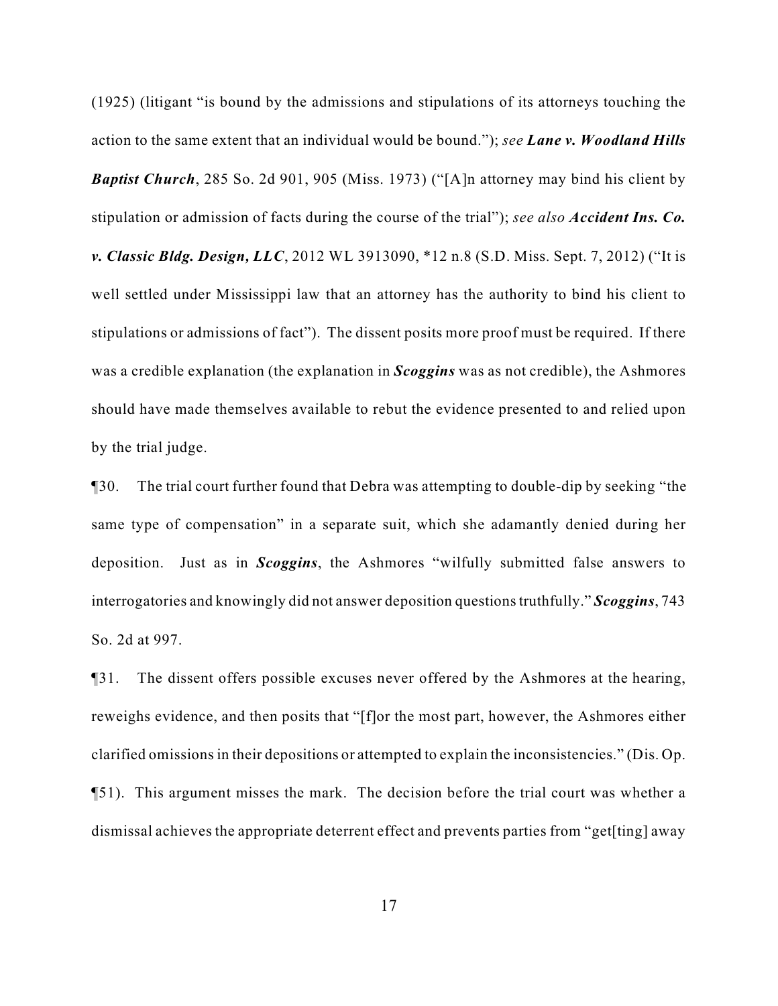(1925) (litigant "is bound by the admissions and stipulations of its attorneys touching the action to the same extent that an individual would be bound."); *see Lane v. Woodland Hills Baptist Church*, 285 So. 2d 901, 905 (Miss. 1973) ("[A]n attorney may bind his client by stipulation or admission of facts during the course of the trial"); *see also Accident Ins. Co. v. Classic Bldg. Design, LLC*, 2012 WL 3913090, \*12 n.8 (S.D. Miss. Sept. 7, 2012) ("It is well settled under Mississippi law that an attorney has the authority to bind his client to stipulations or admissions of fact"). The dissent posits more proof must be required. If there was a credible explanation (the explanation in *Scoggins* was as not credible), the Ashmores should have made themselves available to rebut the evidence presented to and relied upon by the trial judge.

¶30. The trial court further found that Debra was attempting to double-dip by seeking "the same type of compensation" in a separate suit, which she adamantly denied during her deposition. Just as in *Scoggins*, the Ashmores "wilfully submitted false answers to interrogatories and knowingly did not answer deposition questions truthfully." *Scoggins*, 743 So. 2d at 997.

¶31. The dissent offers possible excuses never offered by the Ashmores at the hearing, reweighs evidence, and then posits that "[f]or the most part, however, the Ashmores either clarified omissions in their depositions or attempted to explain the inconsistencies." (Dis. Op. ¶51). This argument misses the mark. The decision before the trial court was whether a dismissal achieves the appropriate deterrent effect and prevents parties from "get[ting] away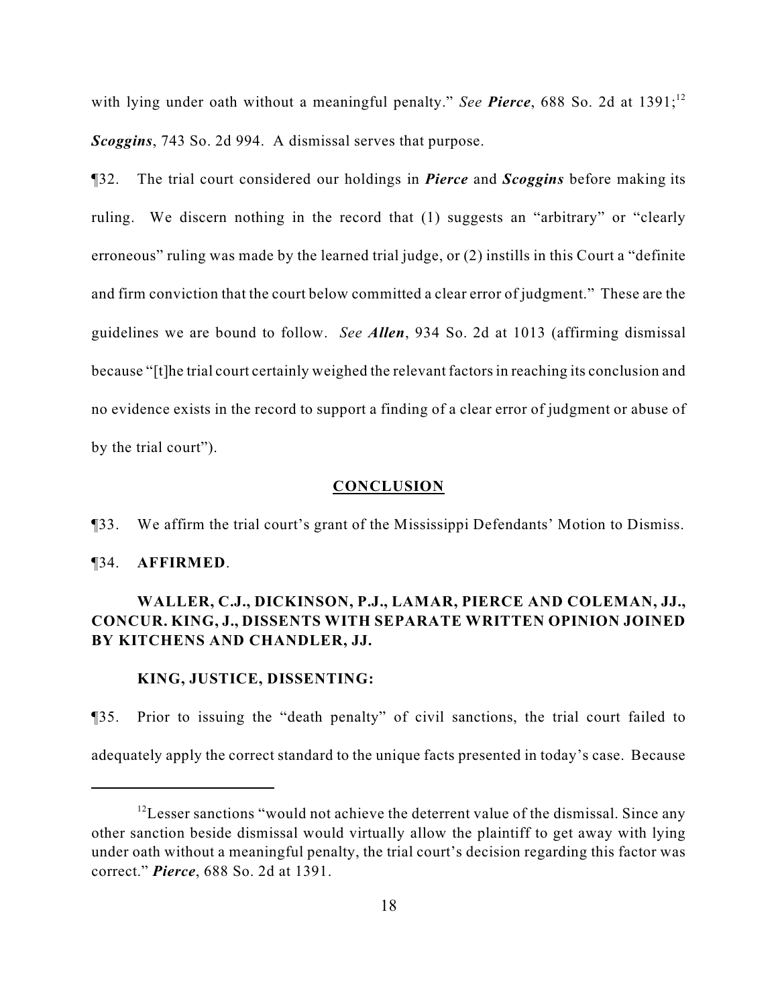with lying under oath without a meaningful penalty." *See Pierce*, 688 So. 2d at 1391;<sup>12</sup> *Scoggins*, 743 So. 2d 994. A dismissal serves that purpose.

¶32. The trial court considered our holdings in *Pierce* and *Scoggins* before making its ruling. We discern nothing in the record that (1) suggests an "arbitrary" or "clearly erroneous" ruling was made by the learned trial judge, or (2) instills in this Court a "definite and firm conviction that the court below committed a clear error of judgment." These are the guidelines we are bound to follow. *See Allen*, 934 So. 2d at 1013 (affirming dismissal because "[t]he trial court certainly weighed the relevant factors in reaching its conclusion and no evidence exists in the record to support a finding of a clear error of judgment or abuse of by the trial court").

### **CONCLUSION**

¶33. We affirm the trial court's grant of the Mississippi Defendants' Motion to Dismiss.

#### ¶34. **AFFIRMED**.

# **WALLER, C.J., DICKINSON, P.J., LAMAR, PIERCE AND COLEMAN, JJ., CONCUR. KING, J., DISSENTS WITH SEPARATE WRITTEN OPINION JOINED BY KITCHENS AND CHANDLER, JJ.**

## **KING, JUSTICE, DISSENTING:**

¶35. Prior to issuing the "death penalty" of civil sanctions, the trial court failed to adequately apply the correct standard to the unique facts presented in today's case. Because

 $12$  Lesser sanctions "would not achieve the deterrent value of the dismissal. Since any other sanction beside dismissal would virtually allow the plaintiff to get away with lying under oath without a meaningful penalty, the trial court's decision regarding this factor was correct." *Pierce*, 688 So. 2d at 1391.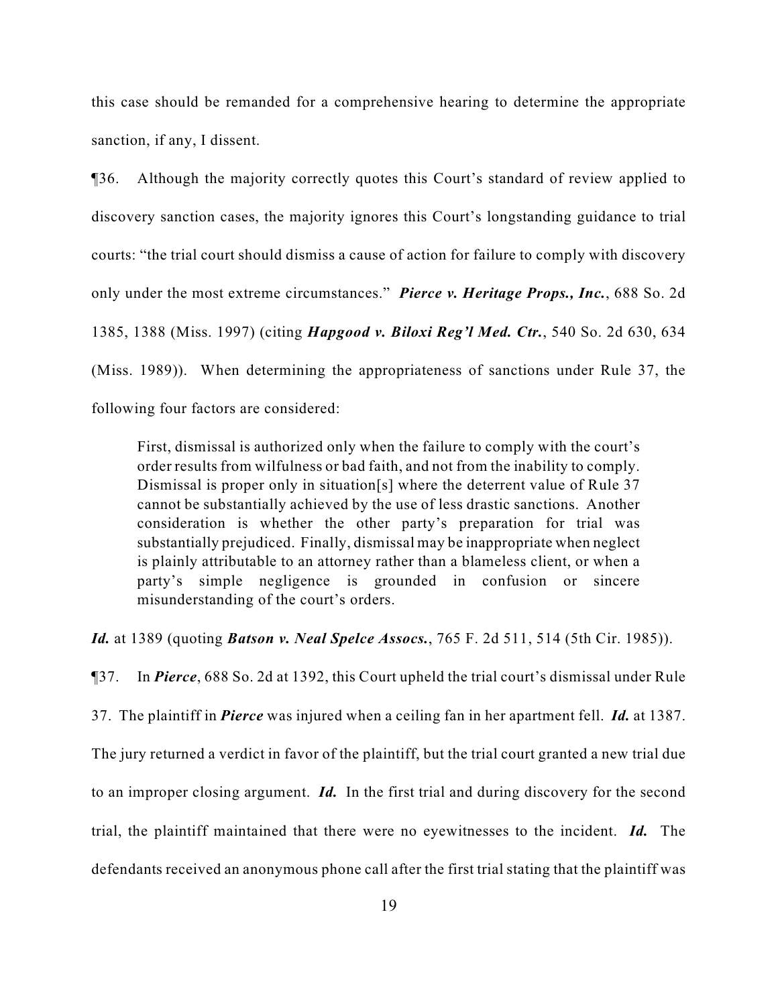this case should be remanded for a comprehensive hearing to determine the appropriate sanction, if any, I dissent.

¶36. Although the majority correctly quotes this Court's standard of review applied to discovery sanction cases, the majority ignores this Court's longstanding guidance to trial courts: "the trial court should dismiss a cause of action for failure to comply with discovery only under the most extreme circumstances." *Pierce v. Heritage Props., Inc.*, 688 So. 2d 1385, 1388 (Miss. 1997) (citing *Hapgood v. Biloxi Reg'l Med. Ctr.*, 540 So. 2d 630, 634 (Miss. 1989)). When determining the appropriateness of sanctions under Rule 37, the following four factors are considered:

First, dismissal is authorized only when the failure to comply with the court's order results from wilfulness or bad faith, and not from the inability to comply. Dismissal is proper only in situation[s] where the deterrent value of Rule 37 cannot be substantially achieved by the use of less drastic sanctions. Another consideration is whether the other party's preparation for trial was substantially prejudiced. Finally, dismissal may be inappropriate when neglect is plainly attributable to an attorney rather than a blameless client, or when a party's simple negligence is grounded in confusion or sincere misunderstanding of the court's orders.

*Id.* at 1389 (quoting *Batson v. Neal Spelce Assocs.*, 765 F. 2d 511, 514 (5th Cir. 1985)).

¶37. In *Pierce*, 688 So. 2d at 1392, this Court upheld the trial court's dismissal under Rule 37. The plaintiff in *Pierce* was injured when a ceiling fan in her apartment fell. *Id.* at 1387. The jury returned a verdict in favor of the plaintiff, but the trial court granted a new trial due to an improper closing argument. *Id.* In the first trial and during discovery for the second trial, the plaintiff maintained that there were no eyewitnesses to the incident. *Id.* The defendants received an anonymous phone call after the first trial stating that the plaintiff was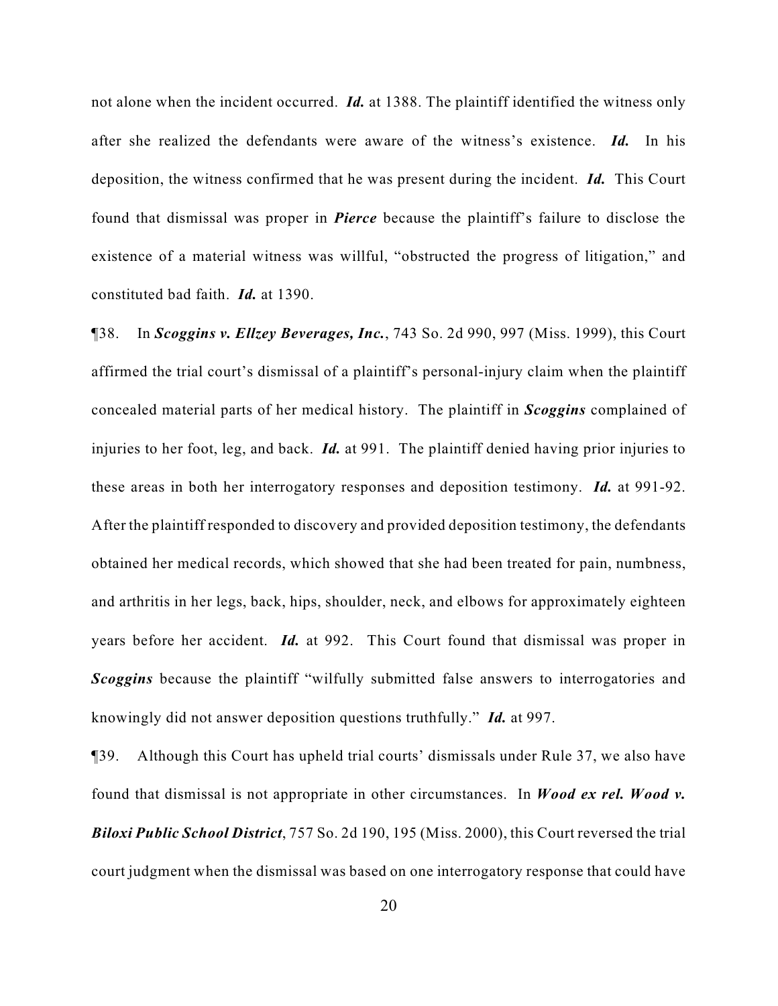not alone when the incident occurred. *Id.* at 1388. The plaintiff identified the witness only after she realized the defendants were aware of the witness's existence. *Id.* In his deposition, the witness confirmed that he was present during the incident. *Id.* This Court found that dismissal was proper in *Pierce* because the plaintiff's failure to disclose the existence of a material witness was willful, "obstructed the progress of litigation," and constituted bad faith. *Id.* at 1390.

¶38. In *Scoggins v. Ellzey Beverages, Inc.*, 743 So. 2d 990, 997 (Miss. 1999), this Court affirmed the trial court's dismissal of a plaintiff's personal-injury claim when the plaintiff concealed material parts of her medical history. The plaintiff in *Scoggins* complained of injuries to her foot, leg, and back. *Id.* at 991. The plaintiff denied having prior injuries to these areas in both her interrogatory responses and deposition testimony. *Id.* at 991-92. After the plaintiff responded to discovery and provided deposition testimony, the defendants obtained her medical records, which showed that she had been treated for pain, numbness, and arthritis in her legs, back, hips, shoulder, neck, and elbows for approximately eighteen years before her accident. *Id.* at 992. This Court found that dismissal was proper in *Scoggins* because the plaintiff "wilfully submitted false answers to interrogatories and knowingly did not answer deposition questions truthfully." *Id.* at 997.

¶39. Although this Court has upheld trial courts' dismissals under Rule 37, we also have found that dismissal is not appropriate in other circumstances. In *Wood ex rel. Wood v. Biloxi Public School District*, 757 So. 2d 190, 195 (Miss. 2000), this Court reversed the trial court judgment when the dismissal was based on one interrogatory response that could have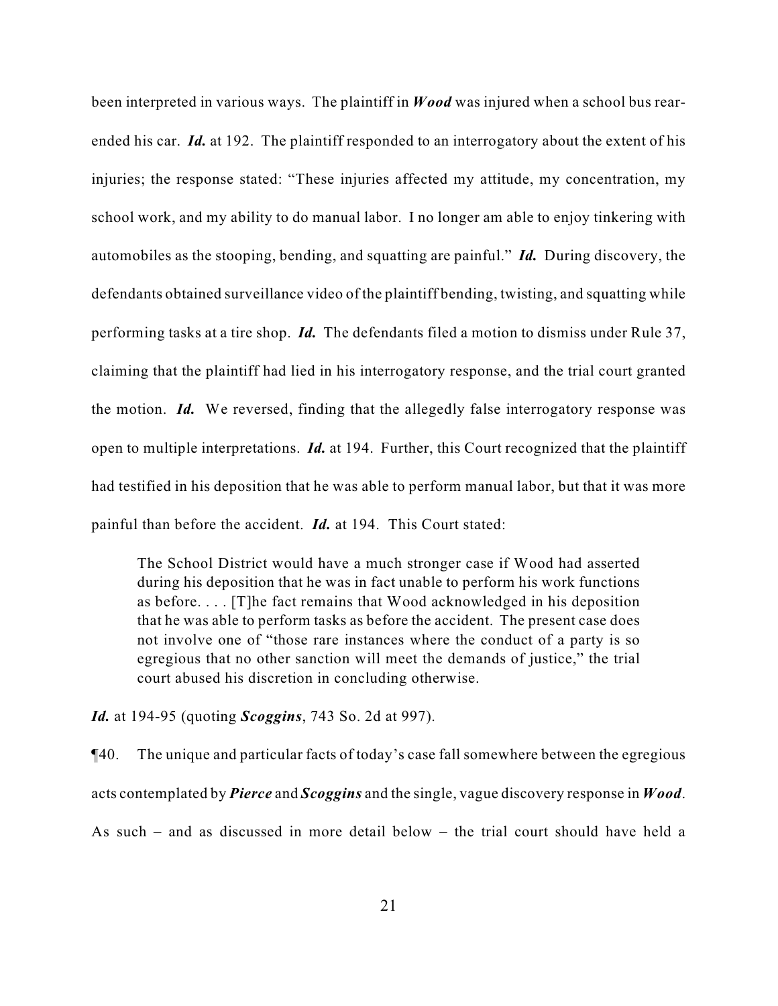been interpreted in various ways. The plaintiff in *Wood* was injured when a school bus rearended his car. *Id.* at 192. The plaintiff responded to an interrogatory about the extent of his injuries; the response stated: "These injuries affected my attitude, my concentration, my school work, and my ability to do manual labor. I no longer am able to enjoy tinkering with automobiles as the stooping, bending, and squatting are painful." *Id.* During discovery, the defendants obtained surveillance video of the plaintiff bending, twisting, and squatting while performing tasks at a tire shop. *Id.* The defendants filed a motion to dismiss under Rule 37, claiming that the plaintiff had lied in his interrogatory response, and the trial court granted the motion. *Id.* We reversed, finding that the allegedly false interrogatory response was open to multiple interpretations. *Id.* at 194. Further, this Court recognized that the plaintiff had testified in his deposition that he was able to perform manual labor, but that it was more painful than before the accident. *Id.* at 194. This Court stated:

The School District would have a much stronger case if Wood had asserted during his deposition that he was in fact unable to perform his work functions as before. . . . [T]he fact remains that Wood acknowledged in his deposition that he was able to perform tasks as before the accident. The present case does not involve one of "those rare instances where the conduct of a party is so egregious that no other sanction will meet the demands of justice," the trial court abused his discretion in concluding otherwise.

*Id.* at 194-95 (quoting *Scoggins*, 743 So. 2d at 997).

¶40. The unique and particular facts of today's case fall somewhere between the egregious acts contemplated by *Pierce* and *Scoggins* and the single, vague discovery response in *Wood*. As such – and as discussed in more detail below – the trial court should have held a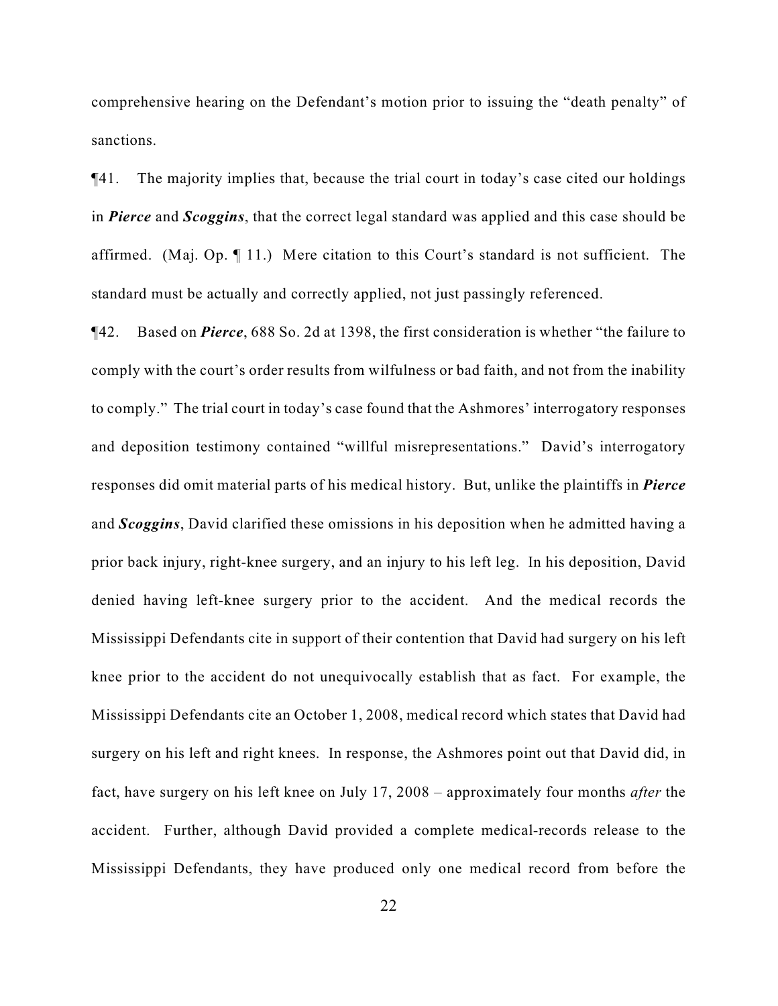comprehensive hearing on the Defendant's motion prior to issuing the "death penalty" of sanctions.

¶41. The majority implies that, because the trial court in today's case cited our holdings in *Pierce* and *Scoggins*, that the correct legal standard was applied and this case should be affirmed. (Maj. Op. ¶ 11.) Mere citation to this Court's standard is not sufficient. The standard must be actually and correctly applied, not just passingly referenced.

¶42. Based on *Pierce*, 688 So. 2d at 1398, the first consideration is whether "the failure to comply with the court's order results from wilfulness or bad faith, and not from the inability to comply." The trial court in today's case found that the Ashmores' interrogatory responses and deposition testimony contained "willful misrepresentations." David's interrogatory responses did omit material parts of his medical history. But, unlike the plaintiffs in *Pierce* and *Scoggins*, David clarified these omissions in his deposition when he admitted having a prior back injury, right-knee surgery, and an injury to his left leg. In his deposition, David denied having left-knee surgery prior to the accident. And the medical records the Mississippi Defendants cite in support of their contention that David had surgery on his left knee prior to the accident do not unequivocally establish that as fact. For example, the Mississippi Defendants cite an October 1, 2008, medical record which states that David had surgery on his left and right knees. In response, the Ashmores point out that David did, in fact, have surgery on his left knee on July 17, 2008 – approximately four months *after* the accident. Further, although David provided a complete medical-records release to the Mississippi Defendants, they have produced only one medical record from before the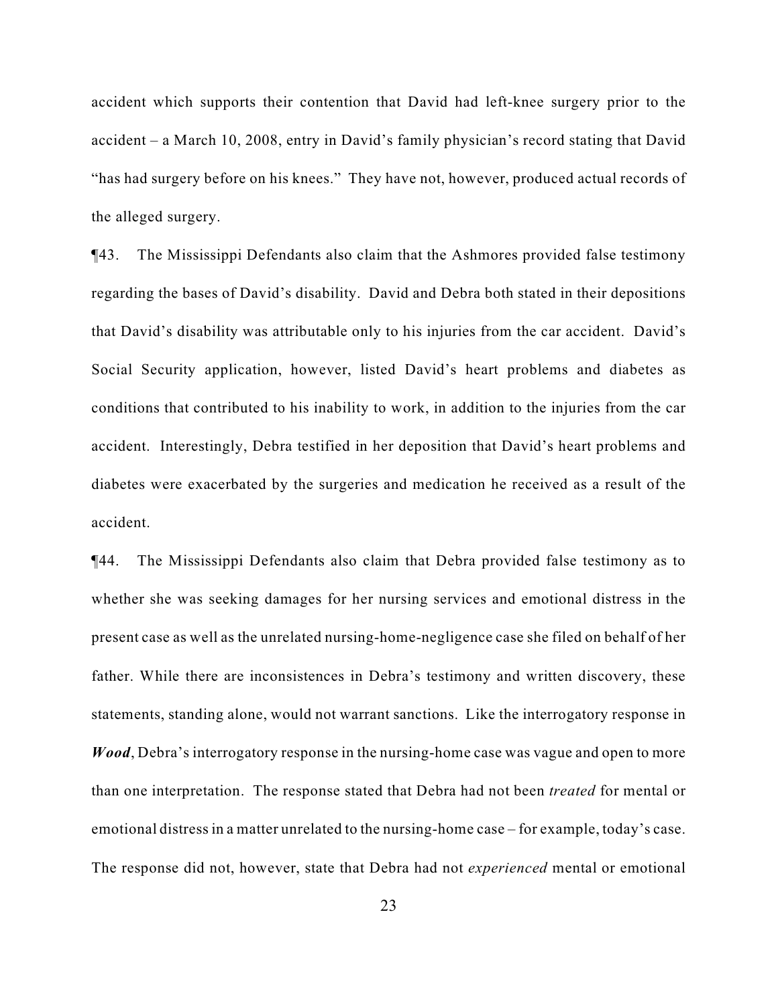accident which supports their contention that David had left-knee surgery prior to the accident – a March 10, 2008, entry in David's family physician's record stating that David "has had surgery before on his knees." They have not, however, produced actual records of the alleged surgery.

¶43. The Mississippi Defendants also claim that the Ashmores provided false testimony regarding the bases of David's disability. David and Debra both stated in their depositions that David's disability was attributable only to his injuries from the car accident. David's Social Security application, however, listed David's heart problems and diabetes as conditions that contributed to his inability to work, in addition to the injuries from the car accident. Interestingly, Debra testified in her deposition that David's heart problems and diabetes were exacerbated by the surgeries and medication he received as a result of the accident.

¶44. The Mississippi Defendants also claim that Debra provided false testimony as to whether she was seeking damages for her nursing services and emotional distress in the present case as well as the unrelated nursing-home-negligence case she filed on behalf of her father. While there are inconsistences in Debra's testimony and written discovery, these statements, standing alone, would not warrant sanctions. Like the interrogatory response in *Wood*, Debra's interrogatory response in the nursing-home case was vague and open to more than one interpretation. The response stated that Debra had not been *treated* for mental or emotional distress in a matter unrelated to the nursing-home case – for example, today's case. The response did not, however, state that Debra had not *experienced* mental or emotional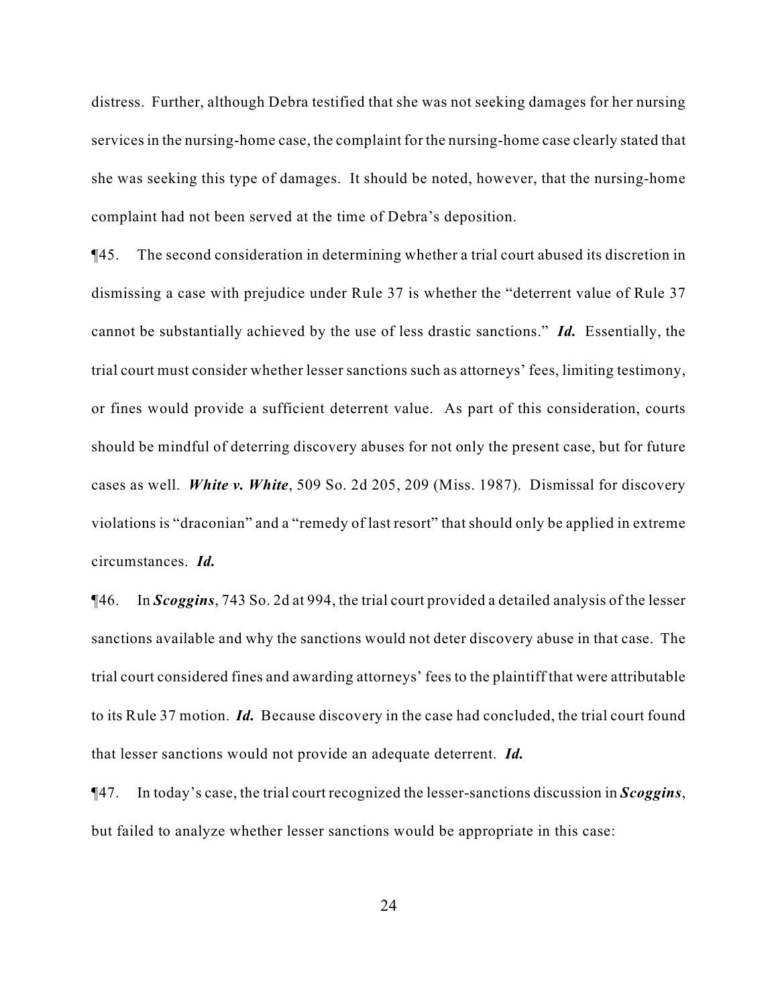distress. Further, although Debra testified that she was not seeking damages for her nursing services in the nursing-home case, the complaint for the nursing-home case clearly stated that she was seeking this type of damages. It should be noted, however, that the nursing-home complaint had not been served at the time of Debra's deposition.

¶45. The second consideration in determining whether a trial court abused its discretion in dismissing a case with prejudice under Rule 37 is whether the "deterrent value of Rule 37 cannot be substantially achieved by the use of less drastic sanctions." *Id.* Essentially, the trial court must consider whether lesser sanctions such as attorneys' fees, limiting testimony, or fines would provide a sufficient deterrent value. As part of this consideration, courts should be mindful of deterring discovery abuses for not only the present case, but for future cases as well. *White v. White*, 509 So. 2d 205, 209 (Miss. 1987). Dismissal for discovery violations is "draconian" and a "remedy of last resort" that should only be applied in extreme circumstances. *Id.* 

¶46. In *Scoggins*, 743 So. 2d at 994, the trial court provided a detailed analysis of the lesser sanctions available and why the sanctions would not deter discovery abuse in that case. The trial court considered fines and awarding attorneys' fees to the plaintiff that were attributable to its Rule 37 motion. *Id.* Because discovery in the case had concluded, the trial court found that lesser sanctions would not provide an adequate deterrent. *Id.* 

¶47. In today's case, the trial court recognized the lesser-sanctions discussion in *Scoggins*, but failed to analyze whether lesser sanctions would be appropriate in this case: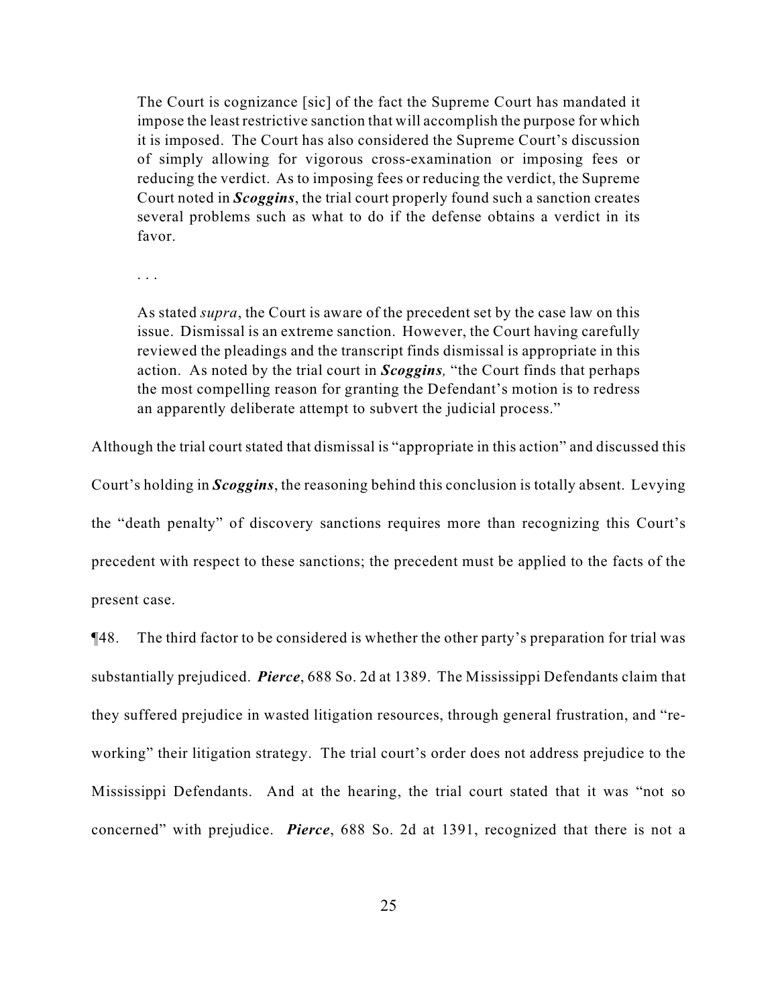The Court is cognizance [sic] of the fact the Supreme Court has mandated it impose the least restrictive sanction that will accomplish the purpose for which it is imposed. The Court has also considered the Supreme Court's discussion of simply allowing for vigorous cross-examination or imposing fees or reducing the verdict. As to imposing fees or reducing the verdict, the Supreme Court noted in *Scoggins*, the trial court properly found such a sanction creates several problems such as what to do if the defense obtains a verdict in its favor.

. . .

As stated *supra*, the Court is aware of the precedent set by the case law on this issue. Dismissal is an extreme sanction. However, the Court having carefully reviewed the pleadings and the transcript finds dismissal is appropriate in this action. As noted by the trial court in *Scoggins,* "the Court finds that perhaps the most compelling reason for granting the Defendant's motion is to redress an apparently deliberate attempt to subvert the judicial process."

Although the trial court stated that dismissal is "appropriate in this action" and discussed this

Court's holding in *Scoggins*, the reasoning behind this conclusion is totally absent. Levying the "death penalty" of discovery sanctions requires more than recognizing this Court's precedent with respect to these sanctions; the precedent must be applied to the facts of the present case.

¶48. The third factor to be considered is whether the other party's preparation for trial was substantially prejudiced. *Pierce*, 688 So. 2d at 1389. The Mississippi Defendants claim that they suffered prejudice in wasted litigation resources, through general frustration, and "reworking" their litigation strategy. The trial court's order does not address prejudice to the Mississippi Defendants. And at the hearing, the trial court stated that it was "not so concerned" with prejudice. *Pierce*, 688 So. 2d at 1391, recognized that there is not a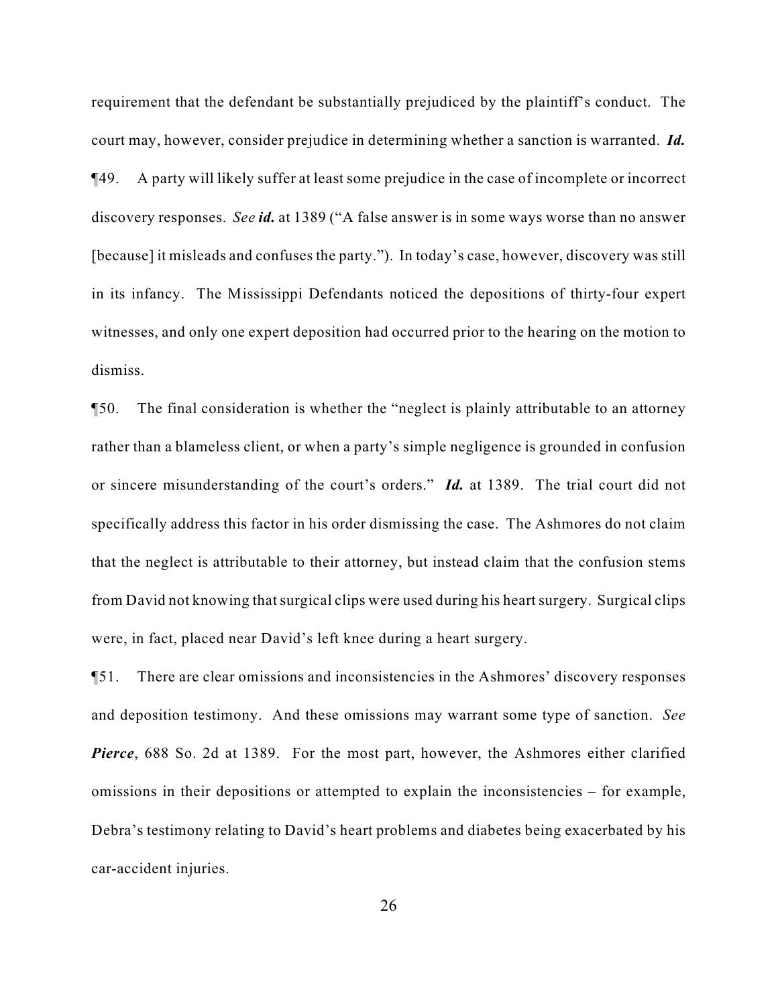requirement that the defendant be substantially prejudiced by the plaintiff's conduct. The court may, however, consider prejudice in determining whether a sanction is warranted. *Id.* ¶49. A party will likely suffer at least some prejudice in the case of incomplete or incorrect discovery responses. *See id.* at 1389 ("A false answer is in some ways worse than no answer [because] it misleads and confuses the party."). In today's case, however, discovery was still in its infancy. The Mississippi Defendants noticed the depositions of thirty-four expert witnesses, and only one expert deposition had occurred prior to the hearing on the motion to dismiss.

¶50. The final consideration is whether the "neglect is plainly attributable to an attorney rather than a blameless client, or when a party's simple negligence is grounded in confusion or sincere misunderstanding of the court's orders." *Id.* at 1389. The trial court did not specifically address this factor in his order dismissing the case. The Ashmores do not claim that the neglect is attributable to their attorney, but instead claim that the confusion stems from David not knowing that surgical clips were used during his heart surgery. Surgical clips were, in fact, placed near David's left knee during a heart surgery.

¶51. There are clear omissions and inconsistencies in the Ashmores' discovery responses and deposition testimony. And these omissions may warrant some type of sanction. *See Pierce*, 688 So. 2d at 1389. For the most part, however, the Ashmores either clarified omissions in their depositions or attempted to explain the inconsistencies – for example, Debra's testimony relating to David's heart problems and diabetes being exacerbated by his car-accident injuries.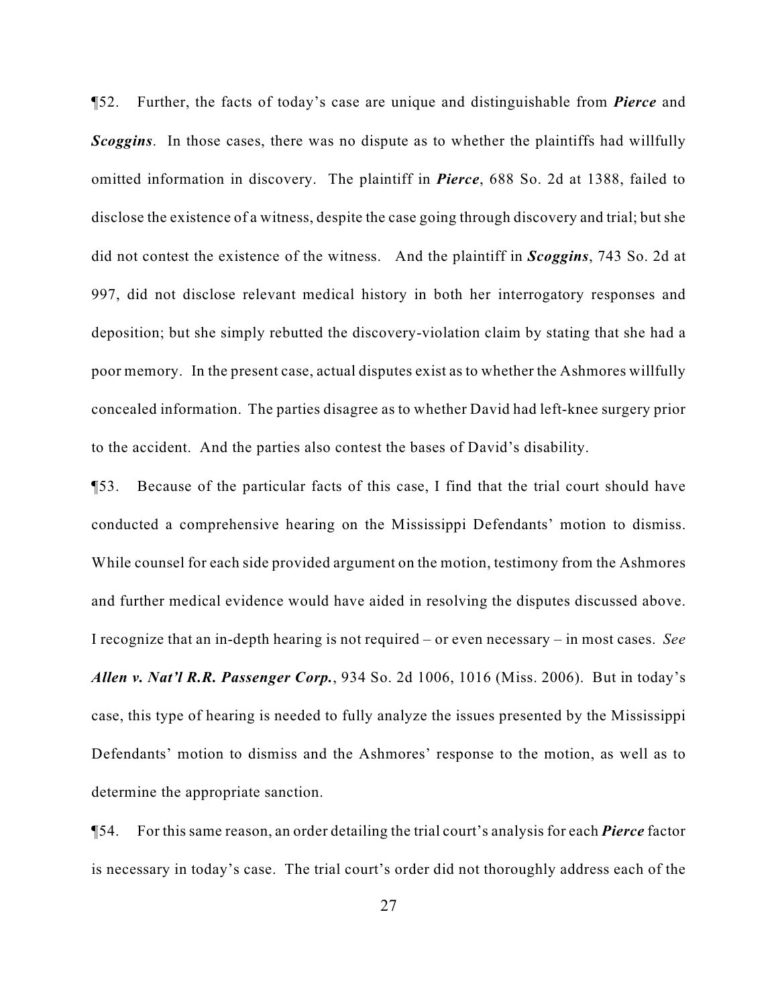¶52. Further, the facts of today's case are unique and distinguishable from *Pierce* and *Scoggins*. In those cases, there was no dispute as to whether the plaintiffs had willfully omitted information in discovery. The plaintiff in *Pierce*, 688 So. 2d at 1388, failed to disclose the existence of a witness, despite the case going through discovery and trial; but she did not contest the existence of the witness. And the plaintiff in *Scoggins*, 743 So. 2d at 997, did not disclose relevant medical history in both her interrogatory responses and deposition; but she simply rebutted the discovery-violation claim by stating that she had a poor memory. In the present case, actual disputes exist as to whether the Ashmores willfully concealed information. The parties disagree as to whether David had left-knee surgery prior to the accident. And the parties also contest the bases of David's disability.

¶53. Because of the particular facts of this case, I find that the trial court should have conducted a comprehensive hearing on the Mississippi Defendants' motion to dismiss. While counsel for each side provided argument on the motion, testimony from the Ashmores and further medical evidence would have aided in resolving the disputes discussed above. I recognize that an in-depth hearing is not required – or even necessary – in most cases. *See Allen v. Nat'l R.R. Passenger Corp.*, 934 So. 2d 1006, 1016 (Miss. 2006). But in today's case, this type of hearing is needed to fully analyze the issues presented by the Mississippi Defendants' motion to dismiss and the Ashmores' response to the motion, as well as to determine the appropriate sanction.

¶54. For this same reason, an order detailing the trial court's analysis for each *Pierce* factor is necessary in today's case. The trial court's order did not thoroughly address each of the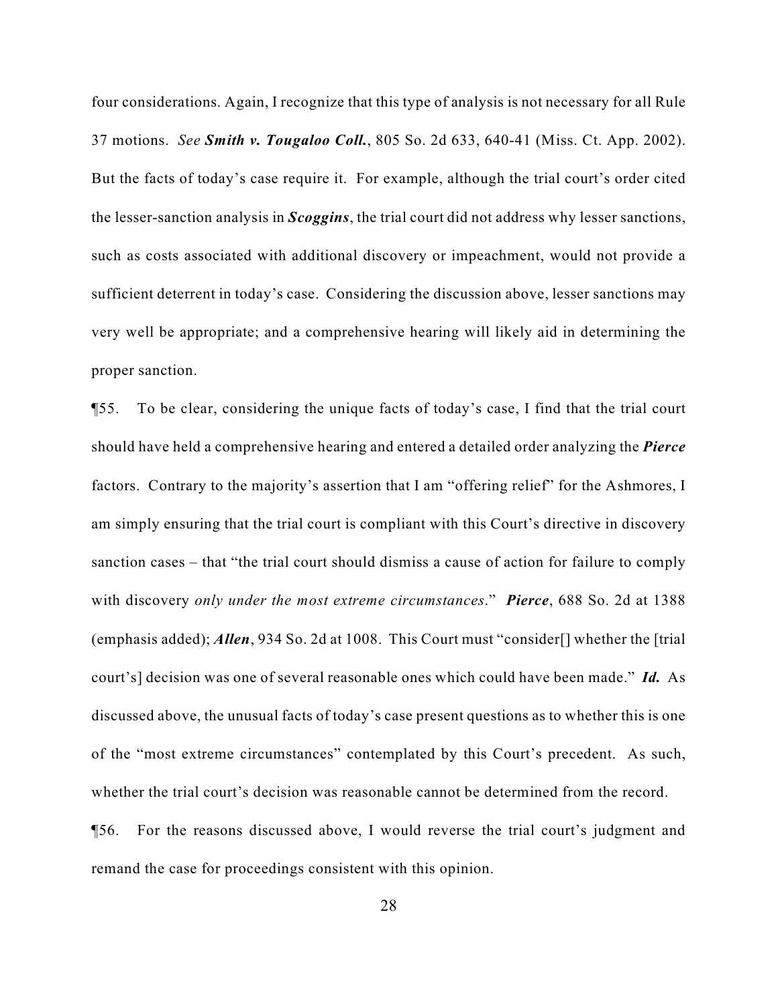four considerations. Again, I recognize that this type of analysis is not necessary for all Rule 37 motions. *See Smith v. Tougaloo Coll.*, 805 So. 2d 633, 640-41 (Miss. Ct. App. 2002). But the facts of today's case require it. For example, although the trial court's order cited the lesser-sanction analysis in *Scoggins*, the trial court did not address why lesser sanctions, such as costs associated with additional discovery or impeachment, would not provide a sufficient deterrent in today's case. Considering the discussion above, lesser sanctions may very well be appropriate; and a comprehensive hearing will likely aid in determining the proper sanction.

¶55. To be clear, considering the unique facts of today's case, I find that the trial court should have held a comprehensive hearing and entered a detailed order analyzing the *Pierce* factors. Contrary to the majority's assertion that I am "offering relief" for the Ashmores, I am simply ensuring that the trial court is compliant with this Court's directive in discovery sanction cases – that "the trial court should dismiss a cause of action for failure to comply with discovery *only under the most extreme circumstances*." *Pierce*, 688 So. 2d at 1388 (emphasis added); *Allen*, 934 So. 2d at 1008. This Court must "consider[] whether the [trial court's] decision was one of several reasonable ones which could have been made." *Id.* As discussed above, the unusual facts of today's case present questions as to whether this is one of the "most extreme circumstances" contemplated by this Court's precedent. As such, whether the trial court's decision was reasonable cannot be determined from the record. ¶56. For the reasons discussed above, I would reverse the trial court's judgment and

remand the case for proceedings consistent with this opinion.